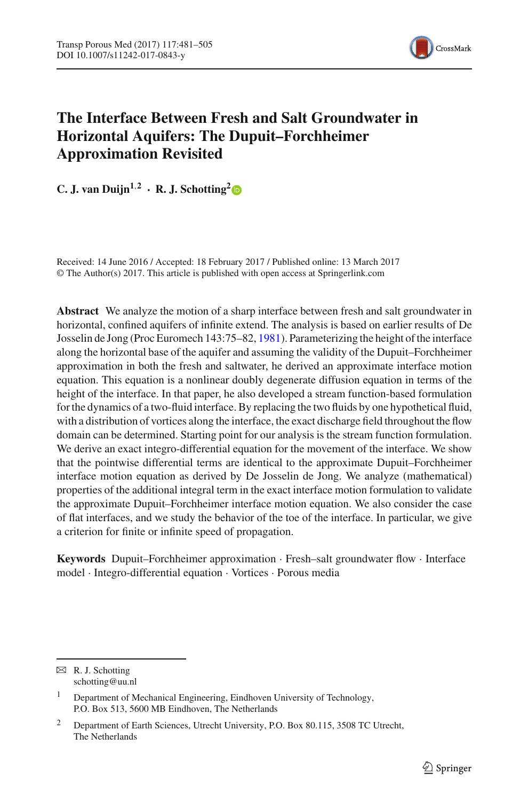

# **The Interface Between Fresh and Salt Groundwater in Horizontal Aquifers: The Dupuit–Forchheimer Approximation Revisited**

**C.** J. van Duijn<sup>1,[2](http://orcid.org/0000-0002-2099-8133)</sup> **· R.** J. Schotting<sup>2</sup> $\bullet$ </sup>

Received: 14 June 2016 / Accepted: 18 February 2017 / Published online: 13 March 2017 © The Author(s) 2017. This article is published with open access at Springerlink.com

**Abstract** We analyze the motion of a sharp interface between fresh and salt groundwater in horizontal, confined aquifers of infinite extend. The analysis is based on earlier results of De Josselin de Jong (Proc Euromech 143:75–82, [1981\)](#page-23-0). Parameterizing the height of the interface along the horizontal base of the aquifer and assuming the validity of the Dupuit–Forchheimer approximation in both the fresh and saltwater, he derived an approximate interface motion equation. This equation is a nonlinear doubly degenerate diffusion equation in terms of the height of the interface. In that paper, he also developed a stream function-based formulation for the dynamics of a two-fluid interface. By replacing the two fluids by one hypothetical fluid, with a distribution of vortices along the interface, the exact discharge field throughout the flow domain can be determined. Starting point for our analysis is the stream function formulation. We derive an exact integro-differential equation for the movement of the interface. We show that the pointwise differential terms are identical to the approximate Dupuit–Forchheimer interface motion equation as derived by De Josselin de Jong. We analyze (mathematical) properties of the additional integral term in the exact interface motion formulation to validate the approximate Dupuit–Forchheimer interface motion equation. We also consider the case of flat interfaces, and we study the behavior of the toe of the interface. In particular, we give a criterion for finite or infinite speed of propagation.

**Keywords** Dupuit–Forchheimer approximation · Fresh–salt groundwater flow · Interface model · Integro-differential equation · Vortices · Porous media

 $\boxtimes$  R. J. Schotting schotting@uu.nl

<sup>&</sup>lt;sup>1</sup> Department of Mechanical Engineering, Eindhoven University of Technology, P.O. Box 513, 5600 MB Eindhoven, The Netherlands

<sup>&</sup>lt;sup>2</sup> Department of Earth Sciences, Utrecht University, P.O. Box 80.115, 3508 TC Utrecht, The Netherlands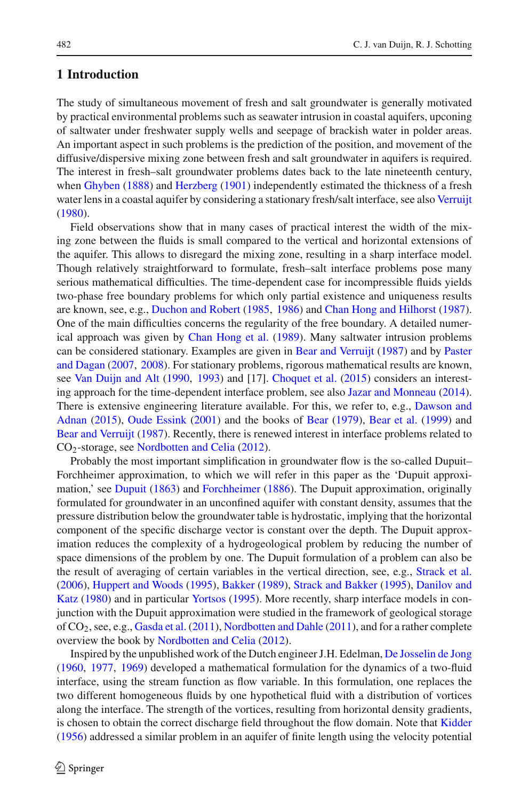## **1 Introduction**

The study of simultaneous movement of fresh and salt groundwater is generally motivated by practical environmental problems such as seawater intrusion in coastal aquifers, upconing of saltwater under freshwater supply wells and seepage of brackish water in polder areas. An important aspect in such problems is the prediction of the position, and movement of the diffusive/dispersive mixing zone between fresh and salt groundwater in aquifers is required. The interest in fresh–salt groundwater problems dates back to the late nineteenth century, when [Ghyben](#page-23-1) [\(1888](#page-23-1)) and [Herzberg](#page-23-2) [\(1901\)](#page-23-2) independently estimated the thickness of a fresh water lens in a coastal aquifer by considering a stationary fresh/salt interface, see also [Verruijt](#page-24-0) [\(1980](#page-24-0)).

Field observations show that in many cases of practical interest the width of the mixing zone between the fluids is small compared to the vertical and horizontal extensions of the aquifer. This allows to disregard the mixing zone, resulting in a sharp interface model. Though relatively straightforward to formulate, fresh–salt interface problems pose many serious mathematical difficulties. The time-dependent case for incompressible fluids yields two-phase free boundary problems for which only partial existence and uniqueness results are known, see, e.g., [Duchon and Robert](#page-23-3) [\(1985](#page-23-3), [1986](#page-23-4)) and [Chan Hong and Hilhorst](#page-23-5) [\(1987\)](#page-23-5). One of the main difficulties concerns the regularity of the free boundary. A detailed numerical approach was given by [Chan Hong et al.](#page-23-6) [\(1989](#page-23-6)). Many saltwater intrusion problems can be con[sidered](#page-24-1) [stationary.](#page-24-1) [Examples](#page-24-1) [are](#page-24-1) [given](#page-24-1) [in](#page-24-1) [Bear and Verruijt](#page-23-7) [\(1987](#page-23-7)) and by Paster and Dagan [\(2007,](#page-24-1) [2008](#page-24-2)). For stationary problems, rigorous mathematical results are known, see [Van Duijn and Alt](#page-24-3) [\(1990,](#page-24-3) [1993](#page-24-4)) and [17]. [Choquet et al.](#page-23-8) [\(2015\)](#page-23-8) considers an interesting approach for the time-dependent interface problem, see also [Jazar and Monneau](#page-23-9) [\(2014\)](#page-23-9). There [is](#page-23-10) [extensive](#page-23-10) [engineering](#page-23-10) [literature](#page-23-10) [available.](#page-23-10) [For](#page-23-10) [this,](#page-23-10) [we](#page-23-10) [refer](#page-23-10) [to,](#page-23-10) [e.g.,](#page-23-10) Dawson and Adnan [\(2015\)](#page-23-10), [Oude Essink](#page-24-5) [\(2001\)](#page-24-5) and the books of [Bear](#page-23-11) [\(1979\)](#page-23-11), [Bear et al.](#page-23-12) [\(1999\)](#page-23-12) and [Bear and Verruijt](#page-23-7) [\(1987](#page-23-7)). Recently, there is renewed interest in interface problems related to CO2-storage, see [Nordbotten and Celia](#page-24-6) [\(2012](#page-24-6)).

Probably the most important simplification in groundwater flow is the so-called Dupuit– Forchheimer approximation, to which we will refer in this paper as the 'Dupuit approxi-mation,' see [Dupuit](#page-23-13) [\(1863\)](#page-23-13) and [Forchheimer](#page-23-14) [\(1886\)](#page-23-14). The Dupuit approximation, originally formulated for groundwater in an unconfined aquifer with constant density, assumes that the pressure distribution below the groundwater table is hydrostatic, implying that the horizontal component of the specific discharge vector is constant over the depth. The Dupuit approximation reduces the complexity of a hydrogeological problem by reducing the number of space dimensions of the problem by one. The Dupuit formulation of a problem can also be the result of averaging of certain variables in the vertical direction, see, e.g., [Strack et al.](#page-24-7) [\(2006](#page-24-7)), [Huppert and Woods](#page-23-15) [\(1995](#page-23-15)), [Bakker](#page-23-16) [\(1989\)](#page-23-16), [Strack and Bakker](#page-24-8) [\(1995\)](#page-24-8), Danilov and Katz [\(1980\)](#page-23-17) and in particular [Yortsos](#page-24-9) [\(1995\)](#page-24-9). More recently, sharp interface models in conjunction with the Dupuit approximation were studied in the framework of geological storage of CO2, see, e.g., [Gasda et al.](#page-23-18) [\(2011](#page-23-18)), [Nordbotten and Dahle](#page-24-10) [\(2011](#page-24-10)), and for a rather complete overview the book by [Nordbotten and Celia](#page-24-6) [\(2012](#page-24-6)).

Inspired by the unpublished work of the Dutch engineer J.H. Edelman, [De Josselin de Jong](#page-23-19) [\(1960](#page-23-19), [1977](#page-23-20), [1969\)](#page-23-21) developed a mathematical formulation for the dynamics of a two-fluid interface, using the stream function as flow variable. In this formulation, one replaces the two different homogeneous fluids by one hypothetical fluid with a distribution of vortices along the interface. The strength of the vortices, resulting from horizontal density gradients, is chosen to obtain the correct discharge field throughout the flow domain. Note that [Kidder](#page-23-22) [\(1956](#page-23-22)) addressed a similar problem in an aquifer of finite length using the velocity potential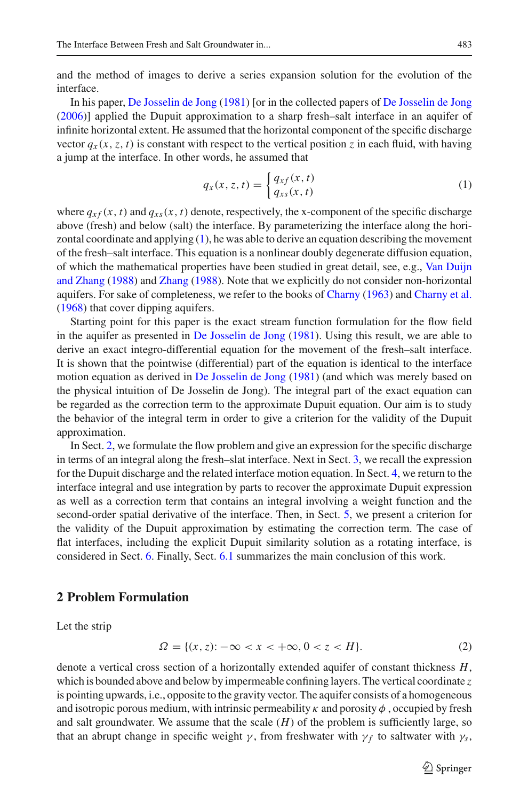and the method of images to derive a series expansion solution for the evolution of the interface.

In his paper, [De Josselin de Jong](#page-23-0) [\(1981\)](#page-23-0) [or in the collected papers of [De Josselin de Jong](#page-23-23) [\(2006](#page-23-23))] applied the Dupuit approximation to a sharp fresh–salt interface in an aquifer of infinite horizontal extent. He assumed that the horizontal component of the specific discharge vector  $q_x(x, z, t)$  is constant with respect to the vertical position *z* in each fluid, with having a jump at the interface. In other words, he assumed that

<span id="page-2-0"></span>
$$
q_x(x, z, t) = \begin{cases} q_{xf}(x, t) \\ q_{xs}(x, t) \end{cases}
$$
 (1)

where  $q_{xf}(x, t)$  and  $q_{xs}(x, t)$  denote, respectively, the x-component of the specific discharge above (fresh) and below (salt) the interface. By parameterizing the interface along the horizontal coordinate and applying  $(1)$ , he was able to derive an equation describing the movement of the fresh–salt interface. This equation is a nonlinear doubly degenerate diffusion equation, of which t[he](#page-24-11) [mathematical](#page-24-11) [properties](#page-24-11) [have](#page-24-11) [been](#page-24-11) [studied](#page-24-11) [in](#page-24-11) [great](#page-24-11) [detail,](#page-24-11) [see,](#page-24-11) [e.g.,](#page-24-11) Van Duijn and Zhang [\(1988\)](#page-24-11) and [Zhang](#page-24-12) [\(1988](#page-24-12)). Note that we explicitly do not consider non-horizontal aquifers. For sake of completeness, we refer to the books of [Charny](#page-23-24) [\(1963](#page-23-24)) and [Charny et al.](#page-23-25) [\(1968](#page-23-25)) that cover dipping aquifers.

Starting point for this paper is the exact stream function formulation for the flow field in the aquifer as presented in [De Josselin de Jong](#page-23-0) [\(1981](#page-23-0)). Using this result, we are able to derive an exact integro-differential equation for the movement of the fresh–salt interface. It is shown that the pointwise (differential) part of the equation is identical to the interface motion equation as derived in [De Josselin de Jong](#page-23-0) [\(1981\)](#page-23-0) (and which was merely based on the physical intuition of De Josselin de Jong). The integral part of the exact equation can be regarded as the correction term to the approximate Dupuit equation. Our aim is to study the behavior of the integral term in order to give a criterion for the validity of the Dupuit approximation.

In Sect. [2,](#page-2-1) we formulate the flow problem and give an expression for the specific discharge in terms of an integral along the fresh–slat interface. Next in Sect. [3,](#page-4-0) we recall the expression for the Dupuit discharge and the related interface motion equation. In Sect. [4,](#page-6-0) we return to the interface integral and use integration by parts to recover the approximate Dupuit expression as well as a correction term that contains an integral involving a weight function and the second-order spatial derivative of the interface. Then, in Sect. [5,](#page-11-0) we present a criterion for the validity of the Dupuit approximation by estimating the correction term. The case of flat interfaces, including the explicit Dupuit similarity solution as a rotating interface, is considered in Sect. [6.](#page-16-0) Finally, Sect. [6.1](#page-19-0) summarizes the main conclusion of this work.

#### <span id="page-2-1"></span>**2 Problem Formulation**

Let the strip

$$
\Omega = \{(x, z) : -\infty < x < +\infty, 0 < z < H\}.\tag{2}
$$

denote a vertical cross section of a horizontally extended aquifer of constant thickness *H*, which is bounded above and below by impermeable confining layers. The vertical coordinate *z* is pointing upwards, i.e., opposite to the gravity vector. The aquifer consists of a homogeneous and isotropic porous medium, with intrinsic permeability  $\kappa$  and porosity  $\phi$ , occupied by fresh and salt groundwater. We assume that the scale  $(H)$  of the problem is sufficiently large, so that an abrupt change in specific weight  $\gamma$ , from freshwater with  $\gamma_f$  to saltwater with  $\gamma_s$ ,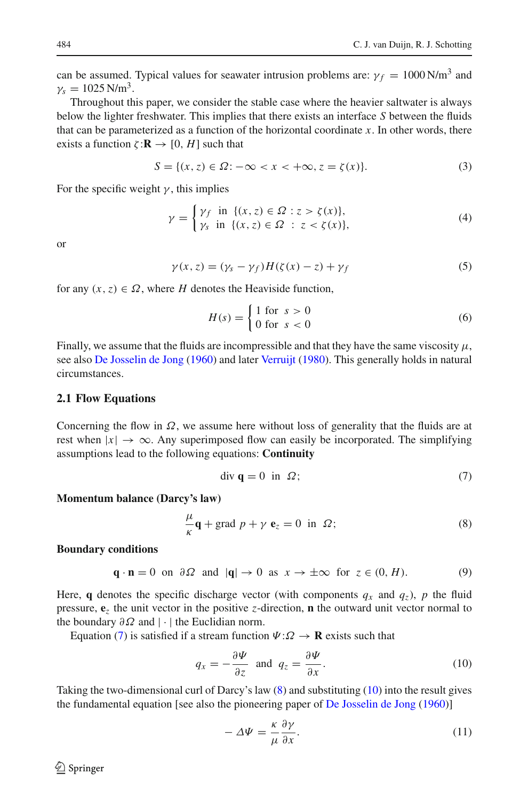can be assumed. Typical values for seawater intrusion problems are:  $\gamma_f = 1000 \text{ N/m}^3$  and  $\gamma_s = 1025 \text{ N/m}^3$ .

Throughout this paper, we consider the stable case where the heavier saltwater is always below the lighter freshwater. This implies that there exists an interface *S* between the fluids that can be parameterized as a function of the horizontal coordinate  $x$ . In other words, there exists a function  $\zeta : \mathbf{R} \to [0, H]$  such that

$$
S = \{(x, z) \in \Omega : -\infty < x < +\infty, z = \zeta(x)\}.\tag{3}
$$

For the specific weight  $\gamma$ , this implies

$$
\gamma = \begin{cases} \gamma_f & \text{in } \{ (x, z) \in \Omega : z > \zeta(x) \}, \\ \gamma_s & \text{in } \{ (x, z) \in \Omega : z < \zeta(x) \}, \end{cases} \tag{4}
$$

or

<span id="page-3-3"></span>
$$
\gamma(x, z) = (\gamma_s - \gamma_f)H(\zeta(x) - z) + \gamma_f \tag{5}
$$

for any  $(x, z) \in \Omega$ , where *H* denotes the Heaviside function,

$$
H(s) = \begin{cases} 1 \text{ for } s > 0 \\ 0 \text{ for } s < 0 \end{cases}
$$
 (6)

Finally, we assume that the fluids are incompressible and that they have the same viscosity  $\mu$ , see also [De Josselin de Jong](#page-23-19) [\(1960](#page-23-19)) and later [Verruijt](#page-24-0) [\(1980\)](#page-24-0). This generally holds in natural circumstances.

#### **2.1 Flow Equations**

Concerning the flow in  $\Omega$ , we assume here without loss of generality that the fluids are at rest when  $|x| \to \infty$ . Any superimposed flow can easily be incorporated. The simplifying assumptions lead to the following equations: **Continuity**

<span id="page-3-0"></span>
$$
\text{div } \mathbf{q} = 0 \text{ in } \Omega; \tag{7}
$$

#### **Momentum balance (Darcy's law)**

<span id="page-3-1"></span>
$$
\frac{\mu}{\kappa}\mathbf{q} + \text{grad } p + \gamma \mathbf{e}_z = 0 \text{ in } \Omega; \tag{8}
$$

#### **Boundary conditions**

<span id="page-3-4"></span>
$$
\mathbf{q} \cdot \mathbf{n} = 0
$$
 on  $\partial \Omega$  and  $|\mathbf{q}| \to 0$  as  $x \to \pm \infty$  for  $z \in (0, H)$ . (9)

Here, **q** denotes the specific discharge vector (with components  $q_x$  and  $q_z$ ), p the fluid pressure, **e***<sup>z</sup>* the unit vector in the positive *z*-direction, **n** the outward unit vector normal to the boundary  $\partial \Omega$  and |  $\cdot$  | the Euclidian norm.

Equation [\(7\)](#page-3-0) is satisfied if a stream function  $\Psi: \Omega \to \mathbf{R}$  exists such that

<span id="page-3-2"></span>
$$
q_x = -\frac{\partial \Psi}{\partial z} \text{ and } q_z = \frac{\partial \Psi}{\partial x}.
$$
 (10)

Taking the two-dimensional curl of Darcy's law [\(8\)](#page-3-1) and substituting [\(10\)](#page-3-2) into the result gives the fundamental equation [see also the pioneering paper of [De Josselin de Jong](#page-23-19) [\(1960\)](#page-23-19)]

$$
-\Delta \Psi = \frac{\kappa}{\mu} \frac{\partial \gamma}{\partial x}.
$$
 (11)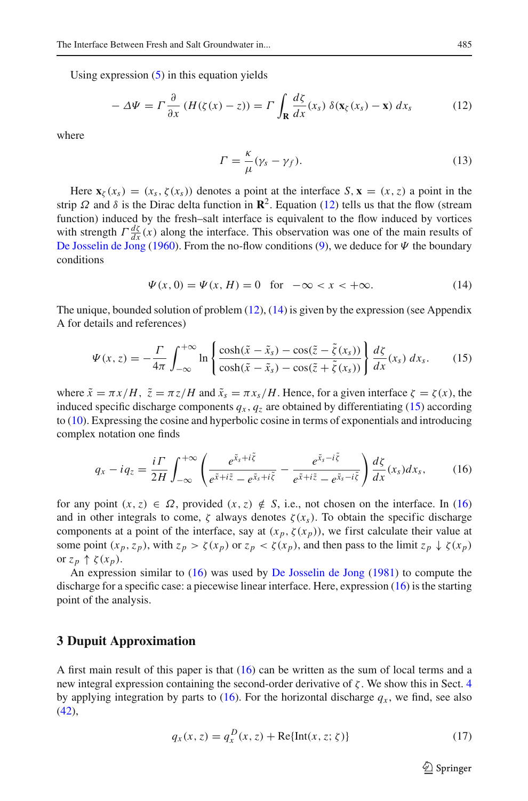Using expression  $(5)$  in this equation yields

<span id="page-4-1"></span>
$$
-\Delta \Psi = \Gamma \frac{\partial}{\partial x} \left( H(\zeta(x) - z) \right) = \Gamma \int_{\mathbf{R}} \frac{d\zeta}{dx}(x_s) \, \delta(\mathbf{x}_{\zeta}(x_s) - \mathbf{x}) \, dx_s \tag{12}
$$

where

$$
\Gamma = \frac{\kappa}{\mu} (\gamma_s - \gamma_f). \tag{13}
$$

Here  $\mathbf{x}_{\zeta}(x_s) = (x_s, \zeta(x_s))$  denotes a point at the interface  $S$ ,  $\mathbf{x} = (x, z)$  a point in the strip  $\Omega$  and  $\delta$  is the Dirac delta function in  $\mathbb{R}^2$ . Equation [\(12\)](#page-4-1) tells us that the flow (stream function) induced by the fresh–salt interface is equivalent to the flow induced by vortices with strength  $\Gamma \frac{d\zeta}{dx}(x)$  along the interface. This observation was one of the main results of [De Josselin de Jong](#page-23-19) [\(1960\)](#page-23-19). From the no-flow conditions [\(9\)](#page-3-4), we deduce for  $\Psi$  the boundary conditions

<span id="page-4-2"></span>
$$
\Psi(x, 0) = \Psi(x, H) = 0 \text{ for } -\infty < x < +\infty.
$$
 (14)

The unique, bounded solution of problem  $(12)$ ,  $(14)$  is given by the expression (see Appendix A for details and references)

<span id="page-4-3"></span>
$$
\Psi(x,z) = -\frac{\Gamma}{4\pi} \int_{-\infty}^{+\infty} \ln \left\{ \frac{\cosh(\tilde{x} - \tilde{x}_s) - \cos(\tilde{z} - \tilde{\zeta}(x_s))}{\cosh(\tilde{x} - \tilde{x}_s) - \cos(\tilde{z} + \tilde{\zeta}(x_s))} \right\} \frac{d\zeta}{dx}(x_s) \, dx_s. \tag{15}
$$

where  $\tilde{x} = \pi x / H$ ,  $\tilde{z} = \pi z / H$  and  $\tilde{x}_s = \pi x_s / H$ . Hence, for a given interface  $\zeta = \zeta(x)$ , the induced specific discharge components  $q_x$ ,  $q_z$  are obtained by differentiating [\(15\)](#page-4-3) according to [\(10\)](#page-3-2). Expressing the cosine and hyperbolic cosine in terms of exponentials and introducing complex notation one finds

<span id="page-4-4"></span>
$$
q_x - iq_z = \frac{i\Gamma}{2H} \int_{-\infty}^{+\infty} \left( \frac{e^{\tilde{x}_s + i\tilde{\zeta}}}{e^{\tilde{x} + i\tilde{z}} - e^{\tilde{x}_s + i\tilde{\zeta}}} - \frac{e^{\tilde{x}_s - i\tilde{\zeta}}}{e^{\tilde{x} + i\tilde{z}} - e^{\tilde{x}_s - i\tilde{\zeta}}} \right) \frac{d\zeta}{dx}(x_s) dx_s, \qquad (16)
$$

for any point  $(x, z) \in \Omega$ , provided  $(x, z) \notin S$ , i.e., not chosen on the interface. In [\(16\)](#page-4-4) and in other integrals to come,  $\zeta$  always denotes  $\zeta(x_s)$ . To obtain the specific discharge components at a point of the interface, say at  $(x_p, \zeta(x_p))$ , we first calculate their value at some point  $(x_p, z_p)$ , with  $z_p > \zeta(x_p)$  or  $z_p < \zeta(x_p)$ , and then pass to the limit  $z_p \downarrow \zeta(x_p)$ or  $z_p \uparrow \zeta(x_p)$ .

An expression similar to [\(16\)](#page-4-4) was used by [De Josselin de Jong](#page-23-0) [\(1981\)](#page-23-0) to compute the discharge for a specific case: a piecewise linear interface. Here, expression [\(16\)](#page-4-4) is the starting point of the analysis.

### <span id="page-4-0"></span>**3 Dupuit Approximation**

A first main result of this paper is that [\(16\)](#page-4-4) can be written as the sum of local terms and a new integral expression containing the second-order derivative of  $\zeta$ . We show this in Sect. [4](#page-6-0) by applying integration by parts to [\(16\)](#page-4-4). For the horizontal discharge  $q_x$ , we find, see also  $(42)$ ,

<span id="page-4-5"></span>
$$
q_x(x, z) = q_x^D(x, z) + \text{Re}\{\text{Int}(x, z; \zeta)\}\tag{17}
$$

 $\circled{2}$  Springer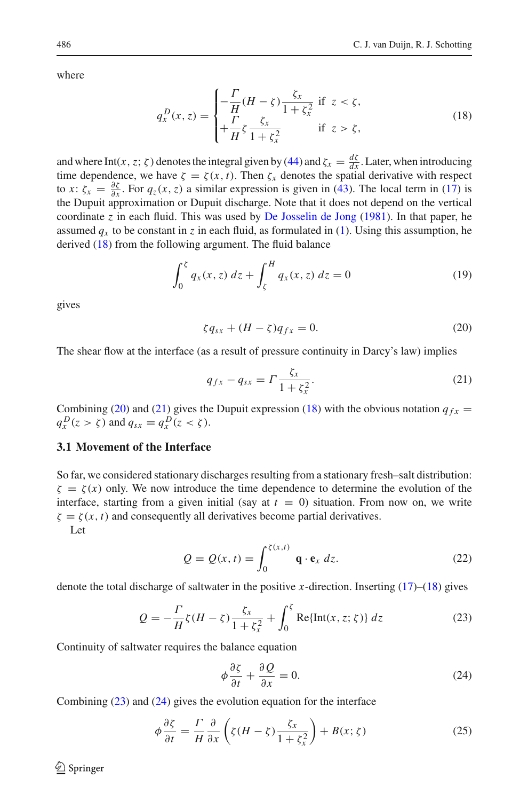where

<span id="page-5-0"></span>
$$
q_x^D(x, z) = \begin{cases} -\frac{\Gamma}{H}(H - \zeta) \frac{\zeta_x}{1 + \zeta_x^2} & \text{if } z < \zeta, \\ +\frac{\Gamma}{H} \zeta \frac{\zeta_x}{1 + \zeta_x^2} & \text{if } z > \zeta, \end{cases}
$$
(18)

and where Int(*x*,*z*;  $\zeta$ ) denotes the integral given by [\(44\)](#page-10-1) and  $\zeta_x = \frac{d\zeta}{dx}$ . Later, when introducing time dependence, we have  $\zeta = \zeta(x, t)$ . Then  $\zeta_x$  denotes the spatial derivative with respect to *x*:  $\zeta_x = \frac{\partial \zeta}{\partial x}$ . For  $q_z(x, z)$  a similar expression is given in [\(43\)](#page-10-2). The local term in [\(17\)](#page-4-5) is the Dupuit approximation or Dupuit discharge. Note that it does not depend on the vertical coordinate  $\zeta$  in each fluid. This was used by [De Josselin de Jong](#page-23-0) [\(1981\)](#page-23-0). In that paper, he assumed  $q_x$  to be constant in *z* in each fluid, as formulated in [\(1\)](#page-2-0). Using this assumption, he derived [\(18\)](#page-5-0) from the following argument. The fluid balance

$$
\int_0^{\xi} q_x(x, z) dz + \int_{\xi}^H q_x(x, z) dz = 0
$$
\n(19)

gives

<span id="page-5-1"></span>
$$
\zeta q_{sx} + (H - \zeta) q_{fx} = 0. \tag{20}
$$

The shear flow at the interface (as a result of pressure continuity in Darcy's law) implies

<span id="page-5-2"></span>
$$
q_{fx} - q_{sx} = \Gamma \frac{\zeta_x}{1 + \zeta_x^2}.
$$
\n(21)

Combining [\(20\)](#page-5-1) and [\(21\)](#page-5-2) gives the Dupuit expression [\(18\)](#page-5-0) with the obvious notation  $q_{fx}$  =  $q_x^D(z > \zeta)$  and  $q_{sx} = q_x^D(z < \zeta)$ .

## **3.1 Movement of the Interface**

So far, we considered stationary discharges resulting from a stationary fresh–salt distribution:  $\zeta = \zeta(x)$  only. We now introduce the time dependence to determine the evolution of the interface, starting from a given initial (say at  $t = 0$ ) situation. From now on, we write  $\zeta = \zeta(x, t)$  and consequently all derivatives become partial derivatives. Let

$$
Q = Q(x, t) = \int_0^{\zeta(x, t)} \mathbf{q} \cdot \mathbf{e}_x \, dz. \tag{22}
$$

denote the total discharge of saltwater in the positive *x*-direction. Inserting [\(17\)](#page-4-5)–[\(18\)](#page-5-0) gives

<span id="page-5-3"></span>
$$
Q = -\frac{\Gamma}{H}\zeta(H-\zeta)\frac{\zeta_x}{1+\zeta_x^2} + \int_0^{\zeta} \text{Re}\{\text{Int}(x,z;\zeta)\} \, dz \tag{23}
$$

Continuity of saltwater requires the balance equation

<span id="page-5-4"></span>
$$
\phi \frac{\partial \zeta}{\partial t} + \frac{\partial Q}{\partial x} = 0.
$$
\n(24)

Combining [\(23\)](#page-5-3) and [\(24\)](#page-5-4) gives the evolution equation for the interface

<span id="page-5-5"></span>
$$
\phi \frac{\partial \zeta}{\partial t} = \frac{\Gamma}{H} \frac{\partial}{\partial x} \left( \zeta (H - \zeta) \frac{\zeta_x}{1 + \zeta_x^2} \right) + B(x; \zeta) \tag{25}
$$

 $\circledcirc$  Springer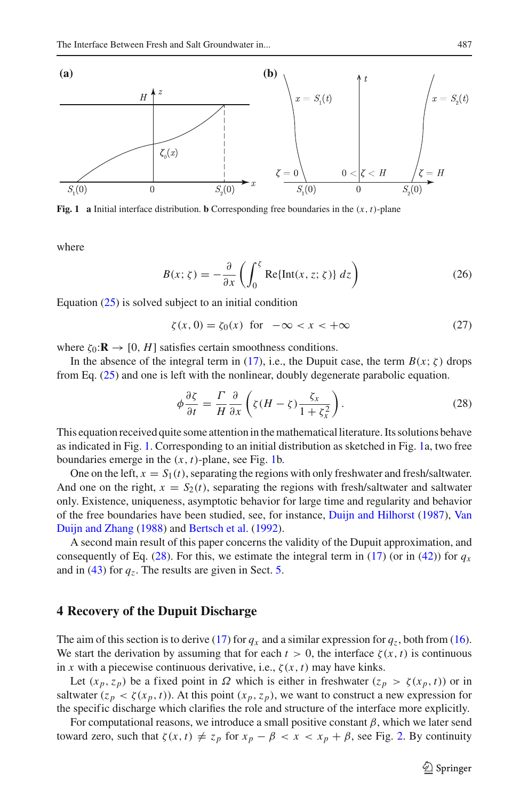

<span id="page-6-1"></span>**Fig. 1** a Initial interface distribution. **b** Corresponding free boundaries in the  $(x, t)$ -plane

where

$$
B(x; \zeta) = -\frac{\partial}{\partial x} \left( \int_0^{\zeta} \text{Re}\{\text{Int}(x, z; \zeta)\} dz \right)
$$
 (26)

Equation [\(25\)](#page-5-5) is solved subject to an initial condition

$$
\zeta(x,0) = \zeta_0(x) \quad \text{for} \quad -\infty < x < +\infty \tag{27}
$$

where  $\zeta_0: \mathbf{R} \to [0, H]$  satisfies certain smoothness conditions.

In the absence of the integral term in [\(17\)](#page-4-5), i.e., the Dupuit case, the term  $B(x; \zeta)$  drops from Eq. [\(25\)](#page-5-5) and one is left with the nonlinear, doubly degenerate parabolic equation.

<span id="page-6-2"></span>
$$
\phi \frac{\partial \zeta}{\partial t} = \frac{\Gamma}{H} \frac{\partial}{\partial x} \left( \zeta (H - \zeta) \frac{\zeta_x}{1 + \zeta_x^2} \right). \tag{28}
$$

This equation received quite some attention in the mathematical literature. Its solutions behave as indicated in Fig. [1.](#page-6-1) Corresponding to an initial distribution as sketched in Fig. [1a](#page-6-1), two free boundaries emerge in the  $(x, t)$ -plane, see Fig. [1b](#page-6-1).

One on the left,  $x = S_1(t)$ , separating the regions with only freshwater and fresh/saltwater. And one on the right,  $x = S_2(t)$ , separating the regions with fresh/saltwater and saltwater only. Existence, uniqueness, asymptotic behavior for large time and regularity and behavior of the free boun[daries](#page-24-11) [have](#page-24-11) [been](#page-24-11) [studied,](#page-24-11) [see,](#page-24-11) [for](#page-24-11) [instance,](#page-24-11) [Duijn and Hilhorst](#page-24-13) [\(1987](#page-24-13)), Van Duijn and Zhang [\(1988\)](#page-24-11) and [Bertsch et al.](#page-23-26) [\(1992](#page-23-26)).

A second main result of this paper concerns the validity of the Dupuit approximation, and consequently of Eq. [\(28\)](#page-6-2). For this, we estimate the integral term in [\(17\)](#page-4-5) (or in [\(42\)](#page-10-0)) for  $q_x$ and in  $(43)$  for  $q_z$ . The results are given in Sect. [5.](#page-11-0)

### <span id="page-6-0"></span>**4 Recovery of the Dupuit Discharge**

The aim of this section is to derive [\(17\)](#page-4-5) for  $q_x$  and a similar expression for  $q_z$ , both from [\(16\)](#page-4-4). We start the derivation by assuming that for each  $t > 0$ , the interface  $\zeta(x, t)$  is continuous in *x* with a piecewise continuous derivative, i.e.,  $\zeta(x, t)$  may have kinks.

Let  $(x_p, z_p)$  be a fixed point in  $\Omega$  which is either in freshwater  $(z_p > \zeta(x_p, t))$  or in saltwater  $(z_p < \zeta(x_p, t))$ . At this point  $(x_p, z_p)$ , we want to construct a new expression for the specific discharge which clarifies the role and structure of the interface more explicitly.

For computational reasons, we introduce a small positive constant  $\beta$ , which we later send toward zero, such that  $\zeta(x, t) \neq z_p$  for  $x_p - \beta < x < x_p + \beta$ , see Fig. [2.](#page-7-0) By continuity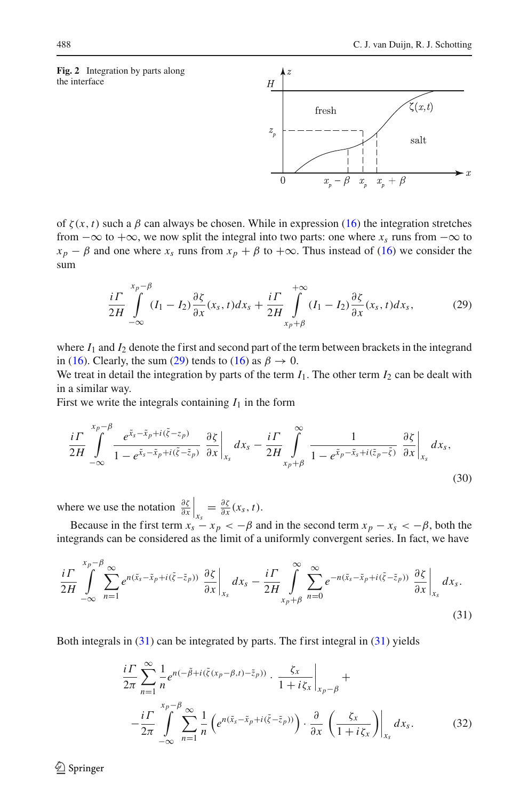<span id="page-7-0"></span>



of  $\zeta(x, t)$  such a  $\beta$  can always be chosen. While in expression [\(16\)](#page-4-4) the integration stretches from  $-\infty$  to  $+\infty$ , we now split the integral into two parts: one where  $x_s$  runs from  $-\infty$  to  $x_p - \beta$  and one where  $x_s$  runs from  $x_p + \beta$  to  $+\infty$ . Thus instead of [\(16\)](#page-4-4) we consider the sum

<span id="page-7-1"></span>
$$
\frac{i\Gamma}{2H} \int\limits_{-\infty}^{x_p-\beta} (I_1 - I_2) \frac{\partial \zeta}{\partial x}(x_s, t) dx_s + \frac{i\Gamma}{2H} \int\limits_{x_p+\beta}^{+\infty} (I_1 - I_2) \frac{\partial \zeta}{\partial x}(x_s, t) dx_s, \tag{29}
$$

where  $I_1$  and  $I_2$  denote the first and second part of the term between brackets in the integrand in [\(16\)](#page-4-4). Clearly, the sum [\(29\)](#page-7-1) tends to (16) as  $\beta \to 0$ .

We treat in detail the integration by parts of the term  $I_1$ . The other term  $I_2$  can be dealt with in a similar way.

First we write the integrals containing  $I_1$  in the form

$$
\frac{i\Gamma}{2H} \int_{-\infty}^{x_p-\beta} \frac{e^{\tilde{x}_s-\tilde{x}_p+i(\tilde{\zeta}-z_p)}}{1-e^{\tilde{x}_s-\tilde{x}_p+i(\tilde{\zeta}-\tilde{z}_p)}} \frac{\partial \zeta}{\partial x}\bigg|_{x_s} dx_s - \frac{i\Gamma}{2H} \int_{x_p+\beta}^{\infty} \frac{1}{1-e^{\tilde{x}_p-\tilde{x}_s+i(\tilde{z}_p-\tilde{\zeta})}} \frac{\partial \zeta}{\partial x}\bigg|_{x_s} dx_s,
$$
\n(30)

where we use the notation  $\frac{\partial \zeta}{\partial x}\Big|_{x_s} = \frac{\partial \zeta}{\partial x}(x_s, t)$ .

Because in the first term  $x_s - x_p < -\beta$  and in the second term  $x_p - x_s < -\beta$ , both the integrands can be considered as the limit of a uniformly convergent series. In fact, we have

<span id="page-7-2"></span>
$$
\frac{i\Gamma}{2H} \int_{-\infty}^{x_p-\beta} \sum_{n=1}^{\infty} e^{n(\tilde{x}_s - \tilde{x}_p + i(\tilde{\zeta} - \tilde{z}_p))} \left. \frac{\partial \zeta}{\partial x} \right|_{x_s} dx_s - \frac{i\Gamma}{2H} \int_{x_p+\beta}^{\infty} \sum_{n=0}^{\infty} e^{-n(\tilde{x}_s - \tilde{x}_p + i(\tilde{\zeta} - \tilde{z}_p))} \left. \frac{\partial \zeta}{\partial x} \right|_{x_s} dx_s. \tag{31}
$$

Both integrals in [\(31\)](#page-7-2) can be integrated by parts. The first integral in [\(31\)](#page-7-2) yields

<span id="page-7-3"></span>
$$
\frac{i\Gamma}{2\pi} \sum_{n=1}^{\infty} \frac{1}{n} e^{n(-\tilde{\beta}+i(\tilde{\zeta}(x_p-\beta,t)-\tilde{z}_p))} \cdot \frac{\zeta_x}{1+i\zeta_x}\Big|_{x_p-\beta} +
$$
  
\n
$$
-\frac{i\Gamma}{2\pi} \int_{-\infty}^{x_p-\beta} \sum_{n=1}^{\infty} \frac{1}{n} \left( e^{n(\tilde{x}_s-\tilde{x}_p+i(\tilde{\zeta}-\tilde{z}_p))} \right) \cdot \frac{\partial}{\partial x} \left( \frac{\zeta_x}{1+i\zeta_x} \right)\Big|_{x_s} dx_s.
$$
 (32)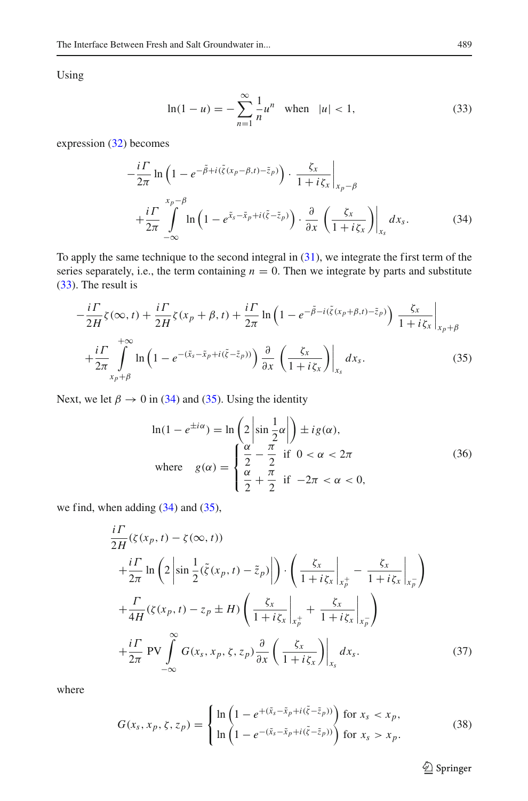Using

<span id="page-8-0"></span>
$$
\ln(1 - u) = -\sum_{n=1}^{\infty} \frac{1}{n} u^n \quad \text{when} \quad |u| < 1,\tag{33}
$$

expression [\(32\)](#page-7-3) becomes

<span id="page-8-1"></span>
$$
-\frac{i\Gamma}{2\pi}\ln\left(1-e^{-\tilde{\beta}+i(\tilde{\zeta}(x_p-\beta,t)-\tilde{z}_p)}\right)\cdot\frac{\zeta_x}{1+i\zeta_x}\bigg|_{x_p-\beta} +\frac{i\Gamma}{2\pi}\int_{-\infty}^{x_p-\beta}\ln\left(1-e^{\tilde{x}_s-\tilde{x}_p+i(\tilde{\zeta}-\tilde{z}_p)}\right)\cdot\frac{\partial}{\partial x}\left(\frac{\zeta_x}{1+i\zeta_x}\right)\bigg|_{x_s}dx_s.
$$
 (34)

To apply the same technique to the second integral in [\(31\)](#page-7-2), we integrate the first term of the series separately, i.e., the term containing  $n = 0$ . Then we integrate by parts and substitute [\(33\)](#page-8-0). The result is

<span id="page-8-2"></span>
$$
-\frac{i\Gamma}{2H}\zeta(\infty,t) + \frac{i\Gamma}{2H}\zeta(x_p + \beta,t) + \frac{i\Gamma}{2\pi}\ln\left(1 - e^{-\tilde{\beta} - i(\tilde{\zeta}(x_p + \beta,t) - \tilde{z}_p)}\right)\frac{\zeta_x}{1 + i\zeta_x}\Big|_{x_p + \beta}
$$

$$
+\frac{i\Gamma}{2\pi}\int_{x_p + \beta}^{+\infty}\ln\left(1 - e^{-(\tilde{x}_s - \tilde{x}_p + i(\tilde{\zeta} - \tilde{z}_p))}\right)\frac{\partial}{\partial x}\left(\frac{\zeta_x}{1 + i\zeta_x}\right)\Big|_{x_s}dx_s.
$$
(35)

Next, we let  $\beta \rightarrow 0$  in [\(34\)](#page-8-1) and [\(35\)](#page-8-2). Using the identity

<span id="page-8-4"></span>
$$
\ln(1 - e^{\pm i\alpha}) = \ln\left(2\left|\sin\frac{1}{2}\alpha\right|\right) \pm ig(\alpha),
$$
  
where  $g(\alpha) = \begin{cases} \frac{\alpha}{2} - \frac{\pi}{2} & \text{if } 0 < \alpha < 2\pi \\ \frac{\alpha}{2} + \frac{\pi}{2} & \text{if } -2\pi < \alpha < 0, \end{cases}$  (36)

we find, when adding  $(34)$  and  $(35)$ ,

*i*Γ

<span id="page-8-3"></span>
$$
\frac{i\Gamma}{2H}(\zeta(x_p, t) - \zeta(\infty, t))
$$
\n
$$
+\frac{i\Gamma}{2\pi}\ln\left(2\left|\sin\frac{1}{2}(\tilde{\zeta}(x_p, t) - \tilde{z}_p)\right|\right) \cdot \left(\frac{\zeta_x}{1 + i\zeta_x}\Big|_{x_p^+} - \frac{\zeta_x}{1 + i\zeta_x}\Big|_{x_p^-}\right)
$$
\n
$$
+\frac{\Gamma}{4H}(\zeta(x_p, t) - z_p \pm H) \left(\frac{\zeta_x}{1 + i\zeta_x}\Big|_{x_p^+} + \frac{\zeta_x}{1 + i\zeta_x}\Big|_{x_p^-}\right)
$$
\n
$$
+\frac{i\Gamma}{2\pi} \text{PV} \int_{-\infty}^{\infty} G(x_s, x_p, \zeta, z_p) \frac{\partial}{\partial x} \left(\frac{\zeta_x}{1 + i\zeta_x}\right)\Big|_{x_s} dx_s. \tag{37}
$$

where

<span id="page-8-5"></span>
$$
G(x_s, x_p, \zeta, z_p) = \begin{cases} \ln\left(1 - e^{+(\tilde{x}_s - \tilde{x}_p + i(\tilde{\zeta} - \tilde{z}_p))}\right) & \text{for } x_s < x_p, \\ \ln\left(1 - e^{-(\tilde{x}_s - \tilde{x}_p + i(\tilde{\zeta} - \tilde{z}_p))}\right) & \text{for } x_s > x_p. \end{cases} \tag{38}
$$

<sup>2</sup> Springer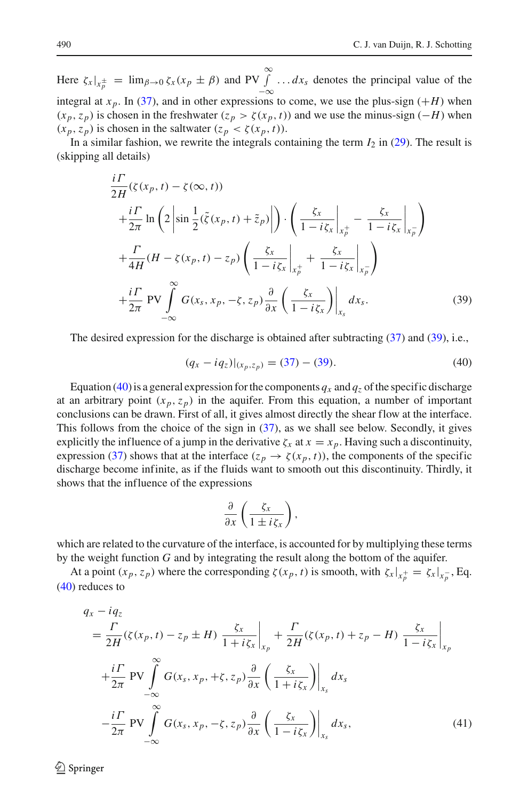Here  $\zeta_x|_{x_p^{\pm}} = \lim_{\beta \to 0} \zeta_x(x_p \pm \beta)$  and PV  $\int_{-\infty}^{\infty} \dots dx_s$  denotes the principal value of the integral at *x<sub>p</sub>*. In [\(37\)](#page-8-3), and in other expressions to come, we use the plus-sign (+*H*) when  $(x_p, z_p)$  is chosen in the freshwater  $(z_p > \zeta(x_p, t))$  and we use the minus-sign  $(-H)$  when  $(x_p, z_p)$  is chosen in the saltwater  $(z_p < \zeta(x_p, t))$ .

In a similar fashion, we rewrite the integrals containing the term  $I_2$  in [\(29\)](#page-7-1). The result is (skipping all details)

<span id="page-9-0"></span>
$$
\frac{i\Gamma}{2H}(\zeta(x_p, t) - \zeta(\infty, t)) \n+ \frac{i\Gamma}{2\pi} \ln\left(2\left|\sin\frac{1}{2}(\tilde{\zeta}(x_p, t) + \tilde{z}_p)\right|\right) \cdot \left(\frac{\zeta_x}{1 - i\zeta_x}\Big|_{x_p^+} - \frac{\zeta_x}{1 - i\zeta_x}\Big|_{x_p^-}\right) \n+ \frac{\Gamma}{4H}(H - \zeta(x_p, t) - z_p) \left(\frac{\zeta_x}{1 - i\zeta_x}\Big|_{x_p^+} + \frac{\zeta_x}{1 - i\zeta_x}\Big|_{x_p}\right) \n+ \frac{i\Gamma}{2\pi} \text{PV} \int_{-\infty}^{\infty} G(x_s, x_p, -\zeta, z_p) \frac{\partial}{\partial x} \left(\frac{\zeta_x}{1 - i\zeta_x}\right)\Big|_{x_s} dx_s.
$$
\n(39)

The desired expression for the discharge is obtained after subtracting [\(37\)](#page-8-3) and [\(39\)](#page-9-0), i.e.,

<span id="page-9-1"></span>
$$
(q_x - iq_z)|_{(x_p, z_p)} = (37) - (39). \tag{40}
$$

Equation [\(40\)](#page-9-1) is a general expression for the components  $q_x$  and  $q_z$  of the specific discharge at an arbitrary point  $(x_p, z_p)$  in the aquifer. From this equation, a number of important conclusions can be drawn. First of all, it gives almost directly the shear flow at the interface. This follows from the choice of the sign in [\(37\)](#page-8-3), as we shall see below. Secondly, it gives explicitly the influence of a jump in the derivative  $\zeta_x$  at  $x = x_p$ . Having such a discontinuity, expression [\(37\)](#page-8-3) shows that at the interface ( $z_p \rightarrow \zeta(x_p, t)$ ), the components of the specific discharge become infinite, as if the fluids want to smooth out this discontinuity. Thirdly, it shows that the influence of the expressions

$$
\frac{\partial}{\partial x}\left(\frac{\zeta_x}{1\pm i\zeta_x}\right),\,
$$

which are related to the curvature of the interface, is accounted for by multiplying these terms by the weight function *G* and by integrating the result along the bottom of the aquifer.

At a point  $(x_p, z_p)$  where the corresponding  $\zeta(x_p, t)$  is smooth, with  $\zeta_x|_{x_p^+} = \zeta_x|_{x_p^-}$ , Eq. [\(40\)](#page-9-1) reduces to

$$
q_{x} - iq_{z}
$$
\n
$$
= \frac{\Gamma}{2H}(\zeta(x_{p}, t) - z_{p} \pm H) \frac{\zeta_{x}}{1 + i\zeta_{x}} \Big|_{x_{p}} + \frac{\Gamma}{2H}(\zeta(x_{p}, t) + z_{p} - H) \frac{\zeta_{x}}{1 - i\zeta_{x}} \Big|_{x_{p}}
$$
\n
$$
+ \frac{i\Gamma}{2\pi} \text{PV} \int_{-\infty}^{\infty} G(x_{s}, x_{p}, +\zeta, z_{p}) \frac{\partial}{\partial x} \left( \frac{\zeta_{x}}{1 + i\zeta_{x}} \right) \Big|_{x_{s}} dx_{s}
$$
\n
$$
- \frac{i\Gamma}{2\pi} \text{PV} \int_{-\infty}^{\infty} G(x_{s}, x_{p}, -\zeta, z_{p}) \frac{\partial}{\partial x} \left( \frac{\zeta_{x}}{1 - i\zeta_{x}} \right) \Big|_{x_{s}} dx_{s}, \tag{41}
$$

 $\mathcal{L}$  Springer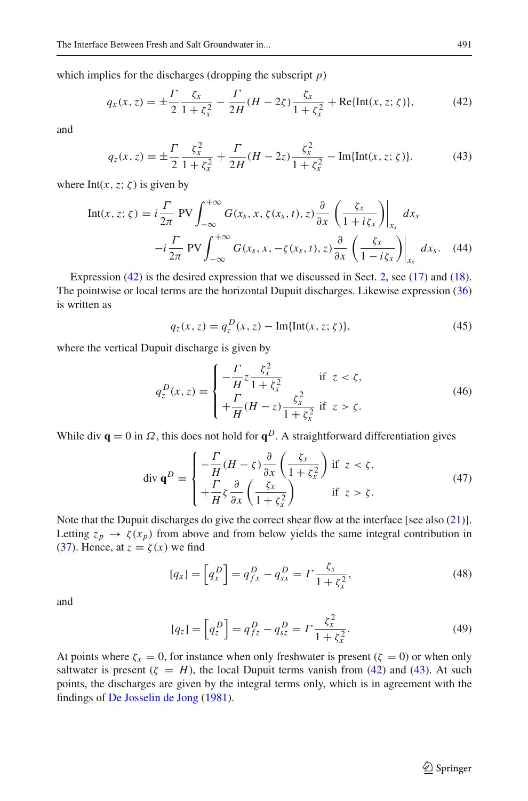which implies for the discharges (dropping the subscript *p*)

<span id="page-10-0"></span>
$$
q_x(x, z) = \pm \frac{\Gamma}{2} \frac{\zeta_x}{1 + \zeta_x^2} - \frac{\Gamma}{2H} (H - 2\zeta) \frac{\zeta_x}{1 + \zeta_x^2} + \text{Re}\{\text{Int}(x, z; \zeta)\},\tag{42}
$$

and

<span id="page-10-2"></span>
$$
q_z(x, z) = \pm \frac{\Gamma}{2} \frac{\zeta_x^2}{1 + \zeta_x^2} + \frac{\Gamma}{2H} (H - 2z) \frac{\zeta_x^2}{1 + \zeta_x^2} - \text{Im}\{\text{Int}(x, z; \zeta)\}.
$$
 (43)

where  $Int(x, z; \zeta)$  is given by

<span id="page-10-1"></span>
$$
\text{Int}(x, z; \zeta) = i \frac{\Gamma}{2\pi} \text{PV} \int_{-\infty}^{+\infty} G(x_s, x, \zeta(x_s, t), z) \frac{\partial}{\partial x} \left( \frac{\zeta_x}{1 + i \zeta_x} \right) \Big|_{x_s} dx_s
$$

$$
-i \frac{\Gamma}{2\pi} \text{PV} \int_{-\infty}^{+\infty} G(x_s, x, -\zeta(x_s, t), z) \frac{\partial}{\partial x} \left( \frac{\zeta_x}{1 - i \zeta_x} \right) \Big|_{x_s} dx_s. \quad (44)
$$

Expression [\(42\)](#page-10-0) is the desired expression that we discussed in Sect. [2,](#page-2-1) see [\(17\)](#page-4-5) and [\(18\)](#page-5-0). The pointwise or local terms are the horizontal Dupuit discharges. Likewise expression [\(36\)](#page-8-4) is written as

$$
q_z(x, z) = q_z^D(x, z) - \text{Im}\{\text{Int}(x, z; \zeta)\},\tag{45}
$$

where the vertical Dupuit discharge is given by

<span id="page-10-3"></span>
$$
q_z^D(x, z) = \begin{cases} -\frac{\Gamma}{H} z \frac{\zeta_x^2}{1 + \zeta_x^2} & \text{if } z < \zeta, \\ +\frac{\Gamma}{H} (H - z) \frac{\zeta_x^2}{1 + \zeta_x^2} & \text{if } z > \zeta. \end{cases}
$$
(46)

While div  $\mathbf{q} = 0$  in  $\Omega$ , this does not hold for  $\mathbf{q}^D$ . A straightforward differentiation gives

$$
\operatorname{div} \mathbf{q}^D = \begin{cases} -\frac{\Gamma}{H}(H-\zeta)\frac{\partial}{\partial x}\left(\frac{\zeta_x}{1+\zeta_x^2}\right) & \text{if } z < \zeta, \\ +\frac{\Gamma}{H}\zeta\frac{\partial}{\partial x}\left(\frac{\zeta_x}{1+\zeta_x^2}\right) & \text{if } z > \zeta. \end{cases}
$$
(47)

Note that the Dupuit discharges do give the correct shear flow at the interface [see also [\(21\)](#page-5-2)]. Letting  $z_p \rightarrow \zeta(x_p)$  from above and from below yields the same integral contribution in [\(37\)](#page-8-3). Hence, at  $z = \zeta(x)$  we find

$$
[q_x] = \left[ q_x^D \right] = q_{fx}^D - q_{sx}^D = \Gamma \frac{\zeta_x}{1 + \zeta_x^2},\tag{48}
$$

and

$$
[q_z] = \left[ q_z^D \right] = q_{fz}^D - q_{sz}^D = \Gamma \frac{\xi_x^2}{1 + \xi_x^2}.
$$
 (49)

At points where  $\zeta_x = 0$ , for instance when only freshwater is present ( $\zeta = 0$ ) or when only saltwater is present  $(\zeta = H)$ , the local Dupuit terms vanish from [\(42\)](#page-10-0) and [\(43\)](#page-10-2). At such points, the discharges are given by the integral terms only, which is in agreement with the findings of [De Josselin de Jong](#page-23-0) [\(1981\)](#page-23-0).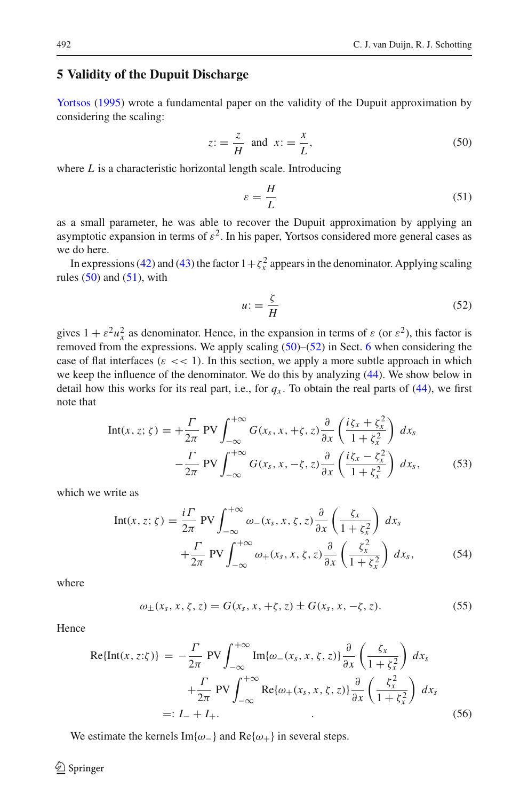## <span id="page-11-0"></span>**5 Validity of the Dupuit Discharge**

Yortsos [\(1995\)](#page-24-9) wrote a fundamental paper on the validity of the Dupuit approximation by considering the scaling:

<span id="page-11-1"></span>
$$
z = \frac{z}{H} \text{ and } x = \frac{x}{L},\tag{50}
$$

where *L* is a characteristic horizontal length scale. Introducing

<span id="page-11-2"></span>
$$
\varepsilon = \frac{H}{L} \tag{51}
$$

as a small parameter, he was able to recover the Dupuit approximation by applying an asymptotic expansion in terms of  $\varepsilon^2$ . In his paper, Yortsos considered more general cases as we do here.

In expressions [\(42\)](#page-10-0) and [\(43\)](#page-10-2) the factor  $1 + \zeta_x^2$  appears in the denominator. Applying scaling rules  $(50)$  and  $(51)$ , with

<span id="page-11-3"></span>
$$
u = \frac{\zeta}{H} \tag{52}
$$

gives  $1 + \varepsilon^2 u_x^2$  as denominator. Hence, in the expansion in terms of  $\varepsilon$  (or  $\varepsilon^2$ ), this factor is removed from the expressions. We apply scaling  $(50)$ – $(52)$  in Sect. [6](#page-16-0) when considering the case of flat interfaces ( $\varepsilon \ll 1$ ). In this section, we apply a more subtle approach in which we keep the influence of the denominator. We do this by analyzing [\(44\)](#page-10-1). We show below in detail how this works for its real part, i.e., for  $q_x$ . To obtain the real parts of [\(44\)](#page-10-1), we first note that

$$
\text{Int}(x, z; \zeta) = +\frac{\Gamma}{2\pi} \text{PV} \int_{-\infty}^{+\infty} G(x_s, x, +\zeta, z) \frac{\partial}{\partial x} \left( \frac{i\zeta_x + \zeta_x^2}{1 + \zeta_x^2} \right) dx_s
$$

$$
-\frac{\Gamma}{2\pi} \text{PV} \int_{-\infty}^{+\infty} G(x_s, x, -\zeta, z) \frac{\partial}{\partial x} \left( \frac{i\zeta_x - \zeta_x^2}{1 + \zeta_x^2} \right) dx_s, \tag{53}
$$

which we write as

<span id="page-11-6"></span>
$$
\text{Int}(x, z; \zeta) = \frac{i\Gamma}{2\pi} \text{PV} \int_{-\infty}^{+\infty} \omega_{-}(x_s, x, \zeta, z) \frac{\partial}{\partial x} \left( \frac{\zeta_x}{1 + \zeta_x^2} \right) dx_s
$$

$$
+ \frac{\Gamma}{2\pi} \text{PV} \int_{-\infty}^{+\infty} \omega_{+}(x_s, x, \zeta, z) \frac{\partial}{\partial x} \left( \frac{\zeta_x^2}{1 + \zeta_x^2} \right) dx_s, \tag{54}
$$

where

<span id="page-11-4"></span>
$$
\omega_{\pm}(x_s, x, \zeta, z) = G(x_s, x, +\zeta, z) \pm G(x_s, x, -\zeta, z). \tag{55}
$$

Hence

<span id="page-11-5"></span>
$$
\text{Re}\{\text{Int}(x, z:\zeta)\} = -\frac{\Gamma}{2\pi} \text{PV} \int_{-\infty}^{+\infty} \text{Im}\{\omega_{-}(x_{s}, x, \zeta, z)\} \frac{\partial}{\partial x} \left(\frac{\zeta_{x}}{1 + \zeta_{x}^{2}}\right) dx_{s}
$$
\n
$$
+ \frac{\Gamma}{2\pi} \text{PV} \int_{-\infty}^{+\infty} \text{Re}\{\omega_{+}(x_{s}, x, \zeta, z)\} \frac{\partial}{\partial x} \left(\frac{\zeta_{x}^{2}}{1 + \zeta_{x}^{2}}\right) dx_{s}
$$
\n
$$
=: I_{-} + I_{+}. \tag{56}
$$

We estimate the kernels Im{ $\omega$ <sub>-</sub>} and Re{ $\omega$ <sub>+</sub>} in several steps.

### $\circledcirc$  Springer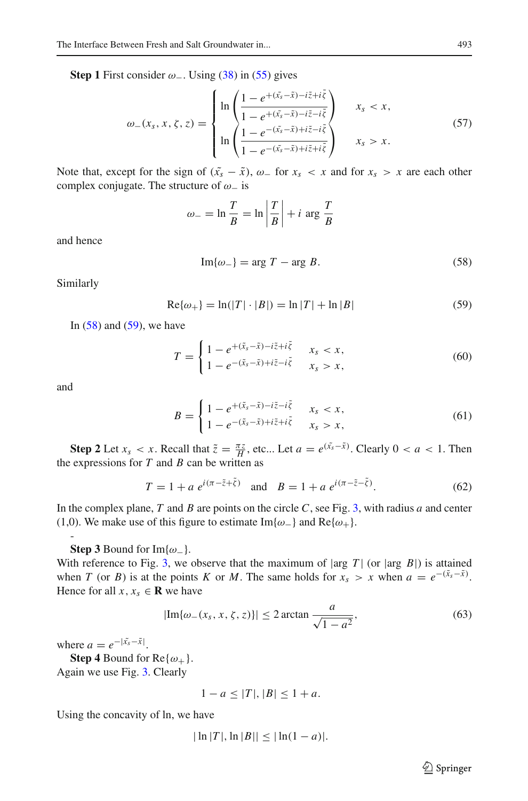**Step 1** First consider  $\omega$ <sub>−</sub>. Using [\(38\)](#page-8-5) in [\(55\)](#page-11-4) gives

<span id="page-12-3"></span>
$$
\omega_{-}(x_{s}, x, \zeta, z) = \begin{cases} \ln \left( \frac{1 - e^{+ (\tilde{x}_{s} - \tilde{x}) - i\tilde{z} + i\tilde{\zeta}}}{1 - e^{+ (\tilde{x}_{s} - \tilde{x}) - i\tilde{z} - i\tilde{\zeta}}} \right) & x_{s} < x, \\ \ln \left( \frac{1 - e^{-(\tilde{x}_{s} - \tilde{x}) + i\tilde{z} - i\tilde{\zeta}}}{1 - e^{-(\tilde{x}_{s} - \tilde{x}) + i\tilde{z} + i\tilde{\zeta}}} \right) & x_{s} > x. \end{cases}
$$
(57)

Note that, except for the sign of  $(\tilde{x}_s - \tilde{x})$ ,  $\omega$  for  $x_s < x$  and for  $x_s > x$  are each other complex conjugate. The structure of  $\omega_$  is

$$
\omega_{-} = \ln \frac{T}{B} = \ln \left| \frac{T}{B} \right| + i \arg \frac{T}{B}
$$

and hence

<span id="page-12-0"></span>
$$
\operatorname{Im}\{\omega_{-}\} = \arg T - \arg B. \tag{58}
$$

Similarly

<span id="page-12-1"></span>
$$
Re\{\omega_{+}\} = \ln(|T| \cdot |B|) = \ln |T| + \ln |B|
$$
 (59)

In  $(58)$  and  $(59)$ , we have

$$
T = \begin{cases} 1 - e^{+(\tilde{x}_s - \tilde{x}) - i\tilde{z} + i\tilde{\xi}} & x_s < x, \\ 1 - e^{-(\tilde{x}_s - \tilde{x}) + i\tilde{z} - i\tilde{\xi}} & x_s > x, \end{cases}
$$
(60)

and

-

$$
B = \begin{cases} 1 - e^{+(\tilde{x}_s - \tilde{x}) - i\tilde{z} - i\tilde{\zeta}} & x_s < x, \\ 1 - e^{-(\tilde{x}_s - \tilde{x}) + i\tilde{z} + i\tilde{\zeta}} & x_s > x, \end{cases}
$$
(61)

**Step 2** Let  $x_s < x$ . Recall that  $\tilde{z} = \frac{\pi z}{H}$ , etc... Let  $a = e^{(\tilde{x}_s - \tilde{x})}$ . Clearly  $0 < a < 1$ . Then the expressions for  $T$  and  $B$  can be written as

$$
T = 1 + a e^{i(\pi - \tilde{z} + \tilde{\zeta})} \text{ and } B = 1 + a e^{i(\pi - \tilde{z} - \tilde{\zeta})}.
$$
 (62)

In the complex plane, *T* and *B* are points on the circle *C*, see Fig. [3,](#page-13-0) with radius *a* and center (1,0). We make use of this figure to estimate Im{ $\omega$ <sub>-</sub>} and Re{ $\omega$ <sub>+</sub>}.

**Step 3** Bound for Im $\{\omega_-\}$ .

With reference to Fig. [3,](#page-13-0) we observe that the maximum of  $|\arg T|$  (or  $|\arg B|$ ) is attained when *T* (or *B*) is at the points *K* or *M*. The same holds for  $x_s > x$  when  $a = e^{-(\tilde{x}_s - \tilde{x})}$ . Hence for all  $x, x_s \in \mathbf{R}$  we have

<span id="page-12-2"></span>
$$
|\text{Im}\{\omega_{-}(x_s, x, \zeta, z)\}| \le 2 \arctan \frac{a}{\sqrt{1 - a^2}},\tag{63}
$$

where  $a = e^{-|\tilde{x}_s - \tilde{x}|}$ .

**Step 4** Bound for  $Re{\omega_+}$ . Again we use Fig. [3.](#page-13-0) Clearly

$$
1 - a \le |T|, |B| \le 1 + a.
$$

Using the concavity of ln, we have

$$
|\ln |T|, \ln |B|| \leq |\ln(1-a)|.
$$

 $\hat{\mathfrak{D}}$  Springer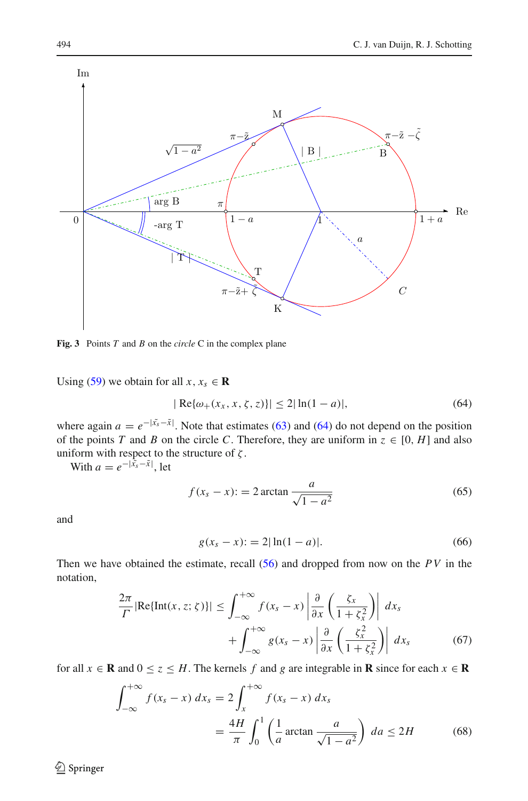

<span id="page-13-0"></span>**Fig. 3** Points *T* and *B* on the *circle* C in the complex plane

Using [\(59\)](#page-12-1) we obtain for all  $x, x_s \in \mathbf{R}$ 

<span id="page-13-1"></span>
$$
|\operatorname{Re}\{\omega_{+}(x_{x}, x, \zeta, z)\}| \le 2|\ln(1 - a)|,\tag{64}
$$

where again  $a = e^{-|\tilde{x}_s - \tilde{x}|}$ . Note that estimates [\(63\)](#page-12-2) and [\(64\)](#page-13-1) do not depend on the position of the points *T* and *B* on the circle *C*. Therefore, they are uniform in  $z \in [0, H]$  and also uniform with respect to the structure of  $\zeta$ .

With  $a = e^{-|\tilde{x}_s - \tilde{x}|}$ , let

<span id="page-13-4"></span>
$$
f(x_s - x) := 2 \arctan \frac{a}{\sqrt{1 - a^2}}
$$
\n(65)

and

<span id="page-13-5"></span>
$$
g(x_s - x) := 2|\ln(1 - a)|. \tag{66}
$$

Then we have obtained the estimate, recall [\(56\)](#page-11-5) and dropped from now on the *PV* in the notation,

<span id="page-13-2"></span>
$$
\frac{2\pi}{\Gamma} |\text{Re}\{\text{Int}(x, z; \zeta)\}| \le \int_{-\infty}^{+\infty} f(x_s - x) \left| \frac{\partial}{\partial x} \left( \frac{\zeta_x}{1 + \zeta_x^2} \right) \right| dx_s
$$

$$
+ \int_{-\infty}^{+\infty} g(x_s - x) \left| \frac{\partial}{\partial x} \left( \frac{\zeta_x^2}{1 + \zeta_x^2} \right) \right| dx_s \tag{67}
$$

for all  $x \in \mathbf{R}$  and  $0 \le z \le H$ . The kernels f and g are integrable in **R** since for each  $x \in \mathbf{R}$ 

<span id="page-13-3"></span>
$$
\int_{-\infty}^{+\infty} f(x_s - x) \, dx_s = 2 \int_{x}^{+\infty} f(x_s - x) \, dx_s
$$
\n
$$
= \frac{4H}{\pi} \int_{0}^{1} \left( \frac{1}{a} \arctan \frac{a}{\sqrt{1 - a^2}} \right) \, da \le 2H \tag{68}
$$

 $\bigcirc$  Springer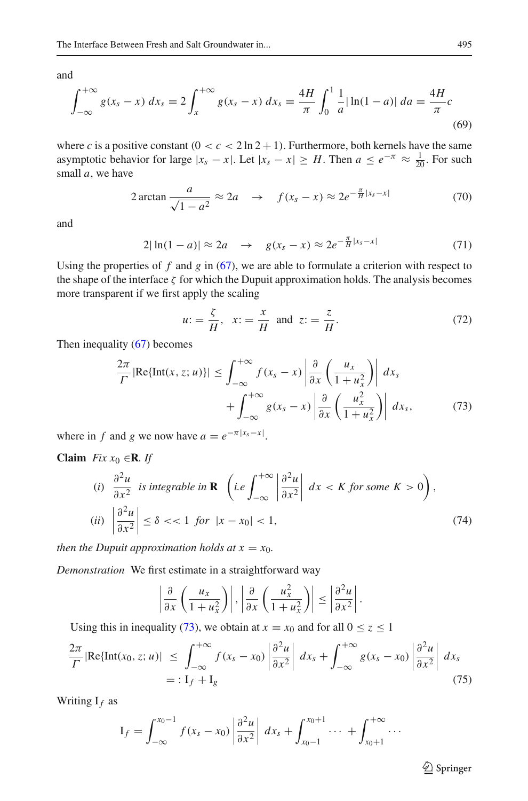and

$$
\int_{-\infty}^{+\infty} g(x_s - x) \, dx_s = 2 \int_{x}^{+\infty} g(x_s - x) \, dx_s = \frac{4H}{\pi} \int_{0}^{1} \frac{1}{a} |\ln(1 - a)| \, da = \frac{4H}{\pi} c \tag{69}
$$

where *c* is a positive constant  $(0 < c < 2 \ln 2 + 1)$ . Furthermore, both kernels have the same asymptotic behavior for large  $|x_s - x|$ . Let  $|x_s - x| \geq H$ . Then  $a \leq e^{-\pi} \approx \frac{1}{20}$ . For such small *a*, we have

<span id="page-14-1"></span>
$$
2\arctan\frac{a}{\sqrt{1-a^2}} \approx 2a \quad \rightarrow \quad f(x_s - x) \approx 2e^{-\frac{\pi}{H}|x_s - x|} \tag{70}
$$

and

$$
2|\ln(1-a)| \approx 2a \quad \to \quad g(x_s - x) \approx 2e^{-\frac{\pi}{H}|x_s - x|} \tag{71}
$$

Using the properties of  $f$  and  $g$  in [\(67\)](#page-13-2), we are able to formulate a criterion with respect to the shape of the interface  $\zeta$  for which the Dupuit approximation holds. The analysis becomes more transparent if we first apply the scaling

<span id="page-14-2"></span>
$$
u: = \frac{\zeta}{H}, \ x: = \frac{x}{H} \text{ and } z: = \frac{z}{H}.
$$
 (72)

Then inequality [\(67\)](#page-13-2) becomes

<span id="page-14-0"></span>
$$
\frac{2\pi}{\Gamma} |\text{Re}\{\text{Int}(x, z; u)\}| \leq \int_{-\infty}^{+\infty} f(x_s - x) \left| \frac{\partial}{\partial x} \left( \frac{u_x}{1 + u_x^2} \right) \right| dx_s
$$

$$
+ \int_{-\infty}^{+\infty} g(x_s - x) \left| \frac{\partial}{\partial x} \left( \frac{u_x^2}{1 + u_x^2} \right) \right| dx_s, \tag{73}
$$

where in *f* and *g* we now have  $a = e^{-\pi |x_s - x|}$ .

**Claim** *Fix*  $x_0 \in \mathbb{R}$ *. If* 

(i) 
$$
\frac{\partial^2 u}{\partial x^2}
$$
 is integrable in **R**  $\left( i.e \int_{-\infty}^{+\infty} \left| \frac{\partial^2 u}{\partial x^2} \right| dx < K \text{ for some } K > 0 \right)$ ,  
(ii) 
$$
\left| \frac{\partial^2 u}{\partial x^2} \right| \le \delta < 1 \text{ for } |x - x_0| < 1,
$$
(74)

*then the Dupuit approximation holds at*  $x = x_0$ *.* 

*Demonstration* We first estimate in a straightforward way

$$
\left|\frac{\partial}{\partial x}\left(\frac{u_x}{1+u_x^2}\right)\right|,\left|\frac{\partial}{\partial x}\left(\frac{u_x^2}{1+u_x^2}\right)\right|\leq \left|\frac{\partial^2 u}{\partial x^2}\right|.
$$

Using this in inequality [\(73\)](#page-14-0), we obtain at  $x = x_0$  and for all  $0 \le z \le 1$ 

$$
\frac{2\pi}{\Gamma} |\text{Re}\{\text{Int}(x_0, z; u)\}| \le \int_{-\infty}^{+\infty} f(x_s - x_0) \left| \frac{\partial^2 u}{\partial x^2} \right| dx_s + \int_{-\infty}^{+\infty} g(x_s - x_0) \left| \frac{\partial^2 u}{\partial x^2} \right| dx_s
$$
\n
$$
= : I_f + I_g \tag{75}
$$

Writing I*f* as

$$
I_f = \int_{-\infty}^{x_0-1} f(x_s - x_0) \left| \frac{\partial^2 u}{\partial x^2} \right| \, dx_s + \int_{x_0-1}^{x_0+1} \cdots + \int_{x_0+1}^{+\infty} \cdots
$$

<sup>2</sup> Springer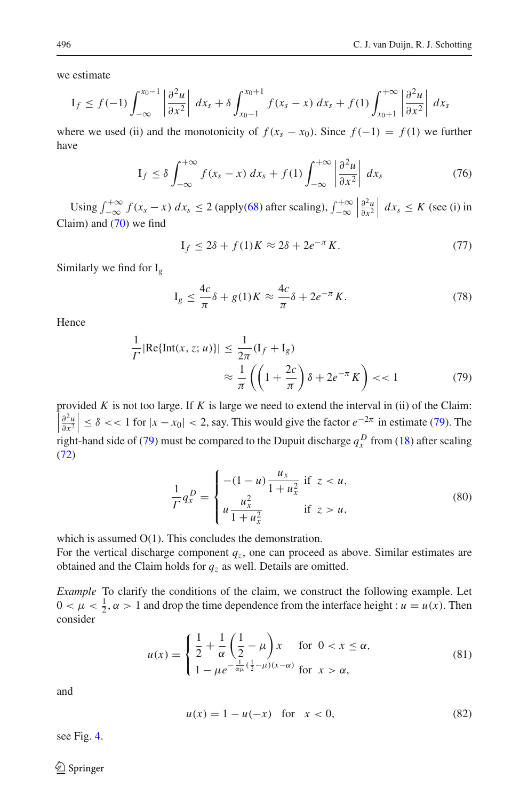we estimate

$$
I_f \le f(-1) \int_{-\infty}^{x_0-1} \left| \frac{\partial^2 u}{\partial x^2} \right| dx_s + \delta \int_{x_0-1}^{x_0+1} f(x_s-x) dx_s + f(1) \int_{x_0+1}^{+\infty} \left| \frac{\partial^2 u}{\partial x^2} \right| dx_s
$$

where we used (ii) and the monotonicity of  $f(x_s - x_0)$ . Since  $f(-1) = f(1)$  we further have

$$
I_f \leq \delta \int_{-\infty}^{+\infty} f(x_s - x) \, dx_s + f(1) \int_{-\infty}^{+\infty} \left| \frac{\partial^2 u}{\partial x^2} \right| \, dx_s \tag{76}
$$

Using  $\int_{-\infty}^{+\infty} f(x_s - x) dx_s \le 2$  (apply[\(68\)](#page-13-3) after scaling),  $\int_{-\infty}^{+\infty}$  $\begin{array}{c} \n\end{array}$  $\frac{\partial^2 u}{\partial x^2}$  *dx<sub>s</sub>* ≤ *K* (see (i) in Claim) and [\(70\)](#page-14-1) we find

$$
I_f \le 2\delta + f(1)K \approx 2\delta + 2e^{-\pi}K. \tag{77}
$$

Similarly we find for I*g*

$$
I_g \le \frac{4c}{\pi} \delta + g(1)K \approx \frac{4c}{\pi} \delta + 2e^{-\pi}K. \tag{78}
$$

Hence

<span id="page-15-0"></span>
$$
\frac{1}{\Gamma} |\text{Re}\{\text{Int}(x, z; u)\}| \le \frac{1}{2\pi} (\text{I}_f + \text{I}_g)
$$
\n
$$
\approx \frac{1}{\pi} \left( \left(1 + \frac{2c}{\pi}\right) \delta + 2e^{-\pi} K \right) < 1 \tag{79}
$$

provided  $K$  is not too large. If  $K$  is large we need to extend the interval in (ii) of the Claim:  $\left|\frac{\partial^2 u}{\partial x^2}\right| \le \delta \lt \lt 1$  for  $|x - x_0| < 2$ , say. This would give the factor  $e^{-2\pi}$  in estimate [\(79\)](#page-15-0). The right-hand side of [\(79\)](#page-15-0) must be compared to the Dupuit discharge  $q_x^D$  from [\(18\)](#page-5-0) after scaling [\(72\)](#page-14-2)

$$
\frac{1}{\Gamma}q_x^D = \begin{cases}\n-(1-u)\frac{u_x}{1+u_x^2} & \text{if } z < u, \\
u\frac{u_x^2}{1+u_x^2} & \text{if } z > u,\n\end{cases}
$$
\n(80)

which is assumed  $O(1)$ . This concludes the demonstration.

For the vertical discharge component  $q_z$ , one can proceed as above. Similar estimates are obtained and the Claim holds for *qz* as well. Details are omitted.

*Example* To clarify the conditions of the claim, we construct the following example. Let  $0 < \mu < \frac{1}{2}$ ,  $\alpha > 1$  and drop the time dependence from the interface height :  $u = u(x)$ . Then consider

<span id="page-15-1"></span>
$$
u(x) = \begin{cases} \frac{1}{2} + \frac{1}{\alpha} \left( \frac{1}{2} - \mu \right) x & \text{for } 0 < x \le \alpha, \\ 1 - \mu e^{-\frac{1}{\alpha \mu} \left( \frac{1}{2} - \mu \right) (x - \alpha)} & \text{for } x > \alpha, \end{cases}
$$
(81)

and

<span id="page-15-2"></span>
$$
u(x) = 1 - u(-x) \text{ for } x < 0,
$$
 (82)

see Fig. [4.](#page-16-1)

 $\bigcirc$  Springer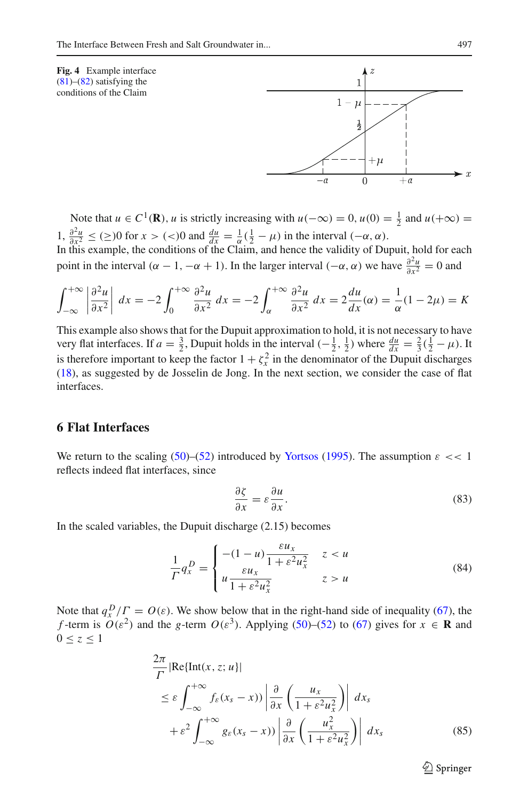<span id="page-16-1"></span>



Note that  $u \in C^1(\mathbf{R})$ , *u* is strictly increasing with  $u(-\infty) = 0$ ,  $u(0) = \frac{1}{2}$  and  $u(+\infty) =$ 1,  $\frac{\partial^2 u}{\partial x^2} \leq (\geq) 0$  for  $x > (\leq) 0$  and  $\frac{du}{dx} = \frac{1}{\alpha} (\frac{1}{2} - \mu)$  in the interval  $(-\alpha, \alpha)$ .

In this example, the conditions of the Claim, and hence the validity of Dupuit, hold for each point in the interval ( $\alpha - 1$ ,  $-\alpha + 1$ ). In the larger interval ( $-\alpha$ ,  $\alpha$ ) we have  $\frac{\partial^2 u}{\partial x^2} = 0$  and

$$
\int_{-\infty}^{+\infty} \left| \frac{\partial^2 u}{\partial x^2} \right| dx = -2 \int_0^{+\infty} \frac{\partial^2 u}{\partial x^2} dx = -2 \int_{\alpha}^{+\infty} \frac{\partial^2 u}{\partial x^2} dx = 2 \frac{du}{dx} (\alpha) = \frac{1}{\alpha} (1 - 2\mu) = K
$$

This example also shows that for the Dupuit approximation to hold, it is not necessary to have very flat interfaces. If  $a = \frac{3}{2}$ , Dupuit holds in the interval  $\left(-\frac{1}{2}, \frac{1}{2}\right)$  where  $\frac{du}{dx} = \frac{2}{3}(\frac{1}{2} - \mu)$ . It is therefore important to keep the factor  $1 + \zeta_x^2$  in the denominator of the Dupuit discharges [\(18\)](#page-5-0), as suggested by de Josselin de Jong. In the next section, we consider the case of flat interfaces.

# <span id="page-16-0"></span>**6 Flat Interfaces**

We return to the scaling  $(50)$ – $(52)$  introduced by [Yortsos](#page-24-9) [\(1995](#page-24-9)). The assumption  $\varepsilon \ll 1$ reflects indeed flat interfaces, since

<span id="page-16-4"></span>
$$
\frac{\partial \zeta}{\partial x} = \varepsilon \frac{\partial u}{\partial x}.
$$
\n(83)

In the scaled variables, the Dupuit discharge (2.15) becomes

<span id="page-16-3"></span>
$$
\frac{1}{\Gamma}q_x^D = \begin{cases}\n-(1-u)\frac{\varepsilon u_x}{1 + \varepsilon^2 u_x^2} & z < u \\
u\frac{\varepsilon u_x}{1 + \varepsilon^2 u_x^2} & z > u\n\end{cases}
$$
\n(84)

Note that  $q_x^D$  /  $\Gamma = O(\varepsilon)$ . We show below that in the right-hand side of inequality [\(67\)](#page-13-2), the *f*-term is  $O(\varepsilon^2)$  and the *g*-term  $O(\varepsilon^3)$ . Applying [\(50\)](#page-11-1)–[\(52\)](#page-11-3) to [\(67\)](#page-13-2) gives for  $x \in \mathbf{R}$  and  $0 \leq z \leq 1$ 

<span id="page-16-2"></span>
$$
\frac{2\pi}{\Gamma} |\text{Re}\{\text{Int}(x, z; u)\}|
$$
\n
$$
\leq \varepsilon \int_{-\infty}^{+\infty} f_{\varepsilon}(x_s - x) \Big| \frac{\partial}{\partial x} \left( \frac{u_x}{1 + \varepsilon^2 u_x^2} \right) \Big| dx_s
$$
\n
$$
+ \varepsilon^2 \int_{-\infty}^{+\infty} g_{\varepsilon}(x_s - x) \Big| \frac{\partial}{\partial x} \left( \frac{u_x^2}{1 + \varepsilon^2 u_x^2} \right) \Big| dx_s
$$
\n(85)

 $\circled{2}$  Springer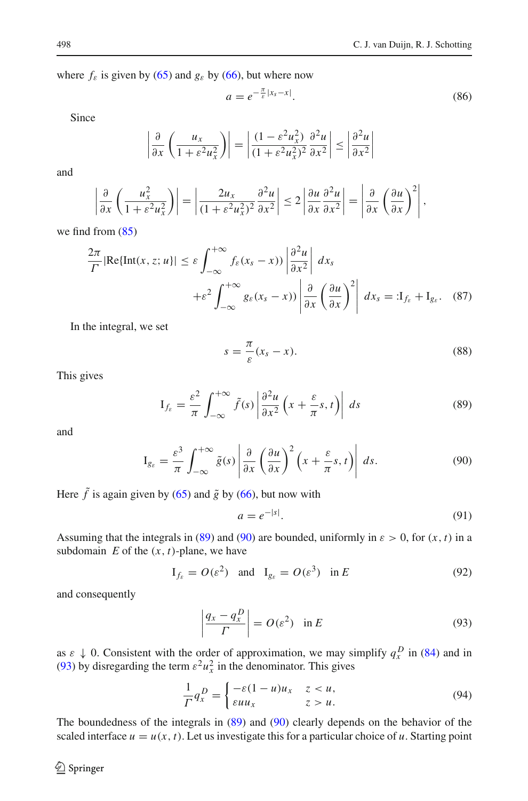where  $f_{\varepsilon}$  is given by [\(65\)](#page-13-4) and  $g_{\varepsilon}$  by [\(66\)](#page-13-5), but where now

$$
a = e^{-\frac{\pi}{\varepsilon}|x_s - x|}.\tag{86}
$$

 $\overline{\phantom{a}}$  $\overline{\phantom{a}}$  $\overline{\phantom{a}}$  $\frac{1}{2}$ 

Since

$$
\left| \frac{\partial}{\partial x} \left( \frac{u_x}{1 + \varepsilon^2 u_x^2} \right) \right| = \left| \frac{(1 - \varepsilon^2 u_x^2)}{(1 + \varepsilon^2 u_x^2)^2} \frac{\partial^2 u}{\partial x^2} \right| \le \left| \frac{\partial^2 u}{\partial x^2} \right|
$$

and

$$
\left|\frac{\partial}{\partial x}\left(\frac{u_x^2}{1+\varepsilon^2 u_x^2}\right)\right|=\left|\frac{2u_x}{(1+\varepsilon^2 u_x^2)^2}\frac{\partial^2 u}{\partial x^2}\right|\leq 2\left|\frac{\partial u}{\partial x}\frac{\partial^2 u}{\partial x^2}\right|=\left|\frac{\partial}{\partial x}\left(\frac{\partial u}{\partial x}\right)^2\right|,
$$

we find from [\(85\)](#page-16-2)

$$
\frac{2\pi}{\Gamma} |\text{Re}\{\text{Int}(x, z; u\}| \le \varepsilon \int_{-\infty}^{+\infty} f_{\varepsilon}(x_s - x) \Big| \frac{\partial^2 u}{\partial x^2} \Big| \ dx_s
$$

$$
+ \varepsilon^2 \int_{-\infty}^{+\infty} g_{\varepsilon}(x_s - x) \Big| \frac{\partial}{\partial x} \left(\frac{\partial u}{\partial x}\right)^2 \Big| \ dx_s =: \mathbf{I}_{f_{\varepsilon}} + \mathbf{I}_{g_{\varepsilon}}. \tag{87}
$$

In the integral, we set

$$
s = \frac{\pi}{\varepsilon}(x_s - x). \tag{88}
$$

This gives

<span id="page-17-0"></span>
$$
I_{f_{\varepsilon}} = \frac{\varepsilon^2}{\pi} \int_{-\infty}^{+\infty} \tilde{f}(s) \left| \frac{\partial^2 u}{\partial x^2} \left( x + \frac{\varepsilon}{\pi} s, t \right) \right| ds \tag{89}
$$

and

<span id="page-17-1"></span>
$$
I_{g_{\varepsilon}} = \frac{\varepsilon^3}{\pi} \int_{-\infty}^{+\infty} \tilde{g}(s) \left| \frac{\partial}{\partial x} \left( \frac{\partial u}{\partial x} \right)^2 \left( x + \frac{\varepsilon}{\pi} s, t \right) \right| ds. \tag{90}
$$

Here  $\tilde{f}$  is again given by [\(65\)](#page-13-4) and  $\tilde{g}$  by [\(66\)](#page-13-5), but now with

<span id="page-17-4"></span>
$$
a = e^{-|s|}.\tag{91}
$$

Assuming that the integrals in [\(89\)](#page-17-0) and [\(90\)](#page-17-1) are bounded, uniformly in  $\varepsilon > 0$ , for  $(x, t)$  in a subdomain  $E$  of the  $(x, t)$ -plane, we have

$$
\mathcal{I}_{f_{\varepsilon}} = O(\varepsilon^2) \quad \text{and} \quad \mathcal{I}_{g_{\varepsilon}} = O(\varepsilon^3) \quad \text{in } E
$$

and consequently

<span id="page-17-2"></span>
$$
\left| \frac{q_x - q_x^D}{\Gamma} \right| = O(\varepsilon^2) \quad \text{in } E
$$
 (93)

as  $\varepsilon \downarrow 0$ . Consistent with the order of approximation, we may simplify  $q_x^D$  in [\(84\)](#page-16-3) and in [\(93\)](#page-17-2) by disregarding the term  $\varepsilon^2 u_x^2$  in the denominator. This gives

<span id="page-17-3"></span>
$$
\frac{1}{\Gamma}q_x^D = \begin{cases}\n-\varepsilon(1-u)u_x & z < u, \\
\varepsilon u u_x & z > u.\n\end{cases}
$$
\n(94)

The boundedness of the integrals in [\(89\)](#page-17-0) and [\(90\)](#page-17-1) clearly depends on the behavior of the scaled interface  $u = u(x, t)$ . Let us investigate this for a particular choice of *u*. Starting point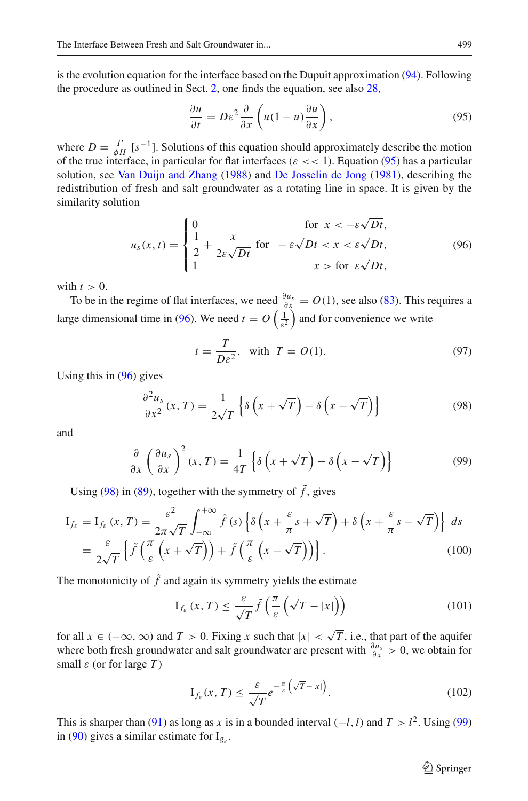is the evolution equation for the interface based on the Dupuit approximation [\(94\)](#page-17-3). Following the procedure as outlined in Sect. [2,](#page-2-1) one finds the equation, see also [28,](#page-6-2)

<span id="page-18-0"></span>
$$
\frac{\partial u}{\partial t} = D\varepsilon^2 \frac{\partial}{\partial x} \left( u(1-u) \frac{\partial u}{\partial x} \right),\tag{95}
$$

where  $D = \frac{\Gamma}{\phi H} [s^{-1}]$ . Solutions of this equation should approximately describe the motion of the true interface, in particular for flat interfaces ( $\varepsilon \ll 1$ ). Equation [\(95\)](#page-18-0) has a particular solution, see [Van Duijn and Zhang](#page-24-11) [\(1988](#page-24-11)) and [De Josselin de Jong](#page-23-0) [\(1981\)](#page-23-0), describing the redistribution of fresh and salt groundwater as a rotating line in space. It is given by the similarity solution

<span id="page-18-1"></span>
$$
u_s(x,t) = \begin{cases} 0 & \text{for } x < -\varepsilon\sqrt{Dt}, \\ \frac{1}{2} + \frac{x}{2\varepsilon\sqrt{Dt}} & \text{for } -\varepsilon\sqrt{Dt} < x < \varepsilon\sqrt{Dt}, \\ 1 & x > \text{for } \varepsilon\sqrt{Dt}, \end{cases} \tag{96}
$$

with  $t > 0$ .

To be in the regime of flat interfaces, we need  $\frac{\partial u_s}{\partial x} = O(1)$ , see also [\(83\)](#page-16-4). This requires a large dimensional time in [\(96\)](#page-18-1). We need  $t = O\left(\frac{1}{\varepsilon^2}\right)$  and for convenience we write

$$
t = \frac{T}{D\varepsilon^2}, \text{ with } T = O(1). \tag{97}
$$

Using this in [\(96\)](#page-18-1) gives

<span id="page-18-2"></span>
$$
\frac{\partial^2 u_s}{\partial x^2}(x,T) = \frac{1}{2\sqrt{T}} \left\{ \delta \left( x + \sqrt{T} \right) - \delta \left( x - \sqrt{T} \right) \right\}
$$
(98)

and

<span id="page-18-3"></span>
$$
\frac{\partial}{\partial x} \left( \frac{\partial u_s}{\partial x} \right)^2 (x, T) = \frac{1}{4T} \left\{ \delta \left( x + \sqrt{T} \right) - \delta \left( x - \sqrt{T} \right) \right\}
$$
(99)

Using [\(98\)](#page-18-2) in [\(89\)](#page-17-0), together with the symmetry of  $\tilde{f}$ , gives

$$
I_{f_{\varepsilon}} = I_{f_{\varepsilon}}(x, T) = \frac{\varepsilon^{2}}{2\pi\sqrt{T}} \int_{-\infty}^{+\infty} \tilde{f}(s) \left\{ \delta \left( x + \frac{\varepsilon}{\pi} s + \sqrt{T} \right) + \delta \left( x + \frac{\varepsilon}{\pi} s - \sqrt{T} \right) \right\} ds
$$
  

$$
= \frac{\varepsilon}{2\sqrt{T}} \left\{ \tilde{f} \left( \frac{\pi}{\varepsilon} \left( x + \sqrt{T} \right) \right) + \tilde{f} \left( \frac{\pi}{\varepsilon} \left( x - \sqrt{T} \right) \right) \right\}.
$$
 (100)

The monotonicity of  $\tilde{f}$  and again its symmetry yields the estimate

$$
I_{f_{\varepsilon}}(x,T) \leq \frac{\varepsilon}{\sqrt{T}} \tilde{f}\left(\frac{\pi}{\varepsilon} \left(\sqrt{T} - |x|\right)\right) \tag{101}
$$

for all  $x \in (-\infty, \infty)$  and  $T > 0$ . Fixing x such that  $|x| < \sqrt{T}$ , i.e., that part of the aquifer where both fresh groundwater and salt groundwater are present with  $\frac{\partial u_s}{\partial x} > 0$ , we obtain for small  $\varepsilon$  (or for large  $T$ )

$$
I_{f_{\varepsilon}}(x,T) \leq \frac{\varepsilon}{\sqrt{T}} e^{-\frac{\pi}{\varepsilon} \left(\sqrt{T} - |x| \right)}.
$$
 (102)

This is sharper than [\(91\)](#page-17-4) as long as *x* is in a bounded interval  $(-l, l)$  and  $T > l^2$ . Using [\(99\)](#page-18-3) in [\(90\)](#page-17-1) gives a similar estimate for  $I_{g_{\varepsilon}}$ .

 $\hat{\mathfrak{D}}$  Springer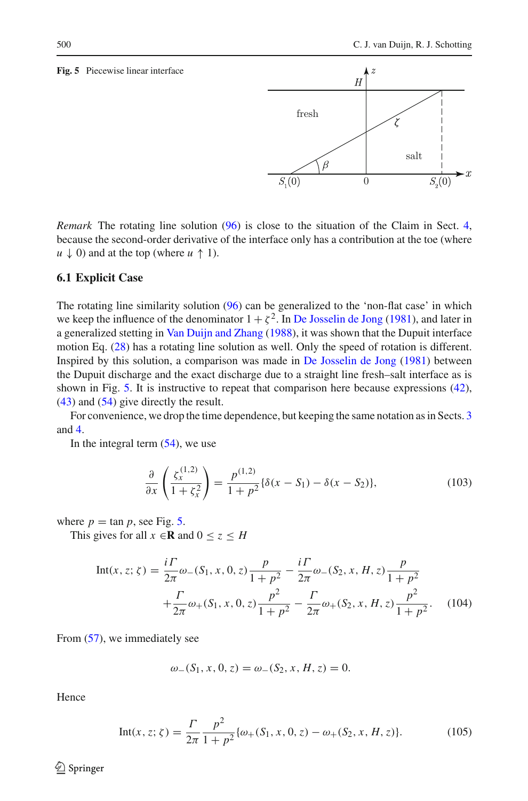#### <span id="page-19-1"></span>**Fig. 5** Piecewise linear interface

*Remark* The rotating line solution [\(96\)](#page-18-1) is close to the situation of the Claim in Sect. [4,](#page-6-0) because the second-order derivative of the interface only has a contribution at the toe (where  $u \downarrow 0$  and at the top (where  $u \uparrow 1$ ).

#### <span id="page-19-0"></span>**6.1 Explicit Case**

The rotating line similarity solution [\(96\)](#page-18-1) can be generalized to the 'non-flat case' in which we keep the influence of the denominator  $1 + \zeta^2$ . In [De Josselin de Jong](#page-23-0) [\(1981](#page-23-0)), and later in a generalized stetting in [Van Duijn and Zhang](#page-24-11) [\(1988](#page-24-11)), it was shown that the Dupuit interface motion Eq. [\(28\)](#page-6-2) has a rotating line solution as well. Only the speed of rotation is different. Inspired by this solution, a comparison was made in [De Josselin de Jong](#page-23-0) [\(1981](#page-23-0)) between the Dupuit discharge and the exact discharge due to a straight line fresh–salt interface as is shown in Fig. [5.](#page-19-1) It is instructive to repeat that comparison here because expressions [\(42\)](#page-10-0), [\(43\)](#page-10-2) and [\(54\)](#page-11-6) give directly the result.

For convenience, we drop the time dependence, but keeping the same notation as in Sects. [3](#page-4-0) and [4.](#page-6-0)

In the integral term  $(54)$ , we use

$$
\frac{\partial}{\partial x}\left(\frac{\zeta_x^{(1,2)}}{1+\zeta_x^2}\right) = \frac{p^{(1,2)}}{1+p^2}\{\delta(x-S_1) - \delta(x-S_2)\},\tag{103}
$$

where  $p = \tan p$ , see Fig. [5.](#page-19-1)

This gives for all  $x \in \mathbb{R}$  and  $0 \le z \le H$ 

$$
\text{Int}(x, z; \zeta) = \frac{i\Gamma}{2\pi} \omega_{-}(S_1, x, 0, z) \frac{p}{1 + p^2} - \frac{i\Gamma}{2\pi} \omega_{-}(S_2, x, H, z) \frac{p}{1 + p^2} + \frac{\Gamma}{2\pi} \omega_{+}(S_1, x, 0, z) \frac{p^2}{1 + p^2} - \frac{\Gamma}{2\pi} \omega_{+}(S_2, x, H, z) \frac{p^2}{1 + p^2}.
$$
 (104)

From [\(57\)](#page-12-3), we immediately see

$$
\omega_{-}(S_1, x, 0, z) = \omega_{-}(S_2, x, H, z) = 0.
$$

Hence

Int(x, z; 
$$
\zeta
$$
) =  $\frac{\Gamma}{2\pi} \frac{p^2}{1 + p^2} \{\omega_+(S_1, x, 0, z) - \omega_+(S_2, x, H, z)\}.$  (105)

 $\circledcirc$  Springer

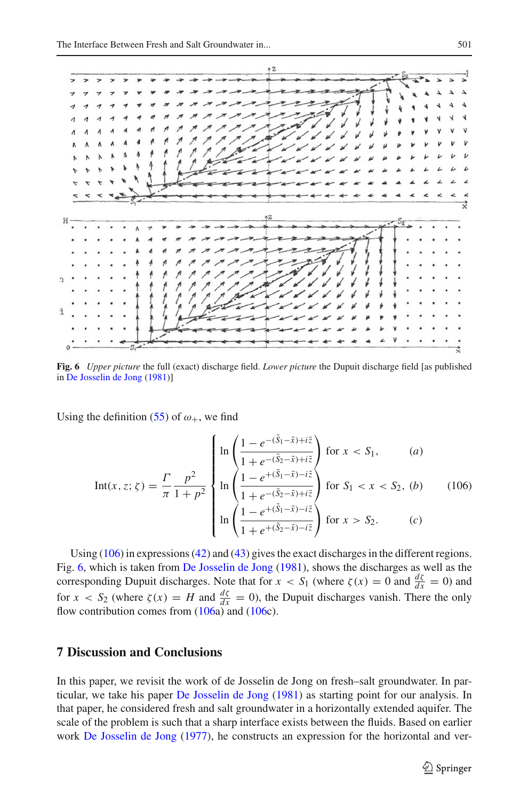

<span id="page-20-1"></span>**Fig. 6** *Upper picture* the full (exact) discharge field. *Lower picture* the Dupuit discharge field [as published in [De Josselin de Jong](#page-23-0) [\(1981](#page-23-0))]

Using the definition [\(55\)](#page-11-4) of  $\omega_{+}$ , we find

<span id="page-20-0"></span>
$$
\text{Int}(x, z; \zeta) = \frac{\Gamma}{\pi} \frac{p^2}{1 + p^2} \begin{cases} \ln \left( \frac{1 - e^{-(\tilde{S}_1 - \tilde{x}) + i\tilde{z}}}{1 + e^{-(\tilde{S}_2 - \tilde{x}) + i\tilde{z}}} \right) \text{ for } x < S_1, \qquad (a) \\ \ln \left( \frac{1 - e^{+(\tilde{S}_1 - \tilde{x}) - i\tilde{z}}}{1 + e^{-(\tilde{S}_2 - \tilde{x}) + i\tilde{z}}} \right) \text{ for } S_1 < x < S_2, \quad (b) \\ \ln \left( \frac{1 - e^{+(\tilde{S}_1 - \tilde{x}) - i\tilde{z}}}{1 + e^{+(\tilde{S}_2 - \tilde{x}) - i\tilde{z}}} \right) \text{ for } x > S_2. \qquad (c) \end{cases}
$$

Using [\(106\)](#page-20-0) in expressions [\(42\)](#page-10-0) and [\(43\)](#page-10-2) gives the exact discharges in the different regions. Fig. [6,](#page-20-1) which is taken from [De Josselin de Jong](#page-23-0) [\(1981\)](#page-23-0), shows the discharges as well as the corresponding Dupuit discharges. Note that for  $x < S_1$  (where  $\zeta(x) = 0$  and  $\frac{d\zeta}{dx} = 0$ ) and for  $x < S_2$  (where  $\zeta(x) = H$  and  $\frac{d\zeta}{dx} = 0$ ), the Dupuit discharges vanish. There the only flow contribution comes from [\(106a](#page-20-0)) and [\(106c](#page-20-0)).

# **7 Discussion and Conclusions**

In this paper, we revisit the work of de Josselin de Jong on fresh–salt groundwater. In particular, we take his paper [De Josselin de Jong](#page-23-0) [\(1981\)](#page-23-0) as starting point for our analysis. In that paper, he considered fresh and salt groundwater in a horizontally extended aquifer. The scale of the problem is such that a sharp interface exists between the fluids. Based on earlier work [De Josselin de Jong](#page-23-20) [\(1977\)](#page-23-20), he constructs an expression for the horizontal and ver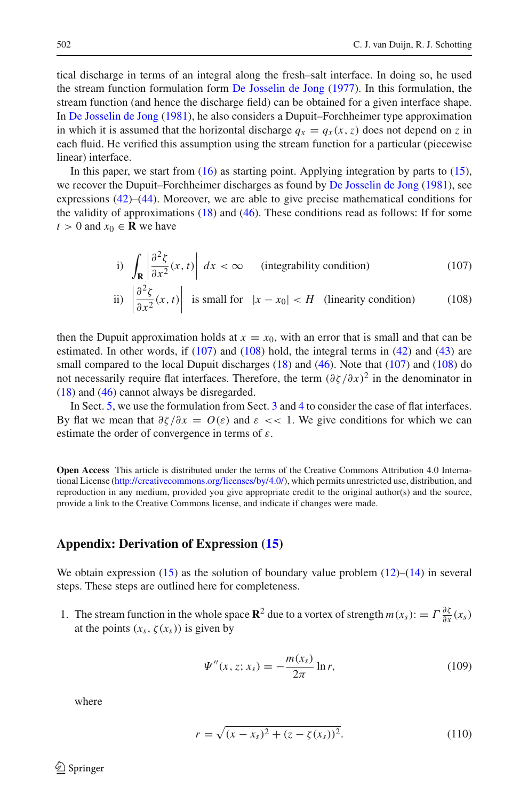tical discharge in terms of an integral along the fresh–salt interface. In doing so, he used the stream function formulation form [De Josselin de Jong](#page-23-20) [\(1977](#page-23-20)). In this formulation, the stream function (and hence the discharge field) can be obtained for a given interface shape. In [De Josselin de Jong](#page-23-0) [\(1981\)](#page-23-0), he also considers a Dupuit–Forchheimer type approximation in which it is assumed that the horizontal discharge  $q_x = q_x(x, z)$  does not depend on *z* in each fluid. He verified this assumption using the stream function for a particular (piecewise linear) interface.

In this paper, we start from  $(16)$  as starting point. Applying integration by parts to  $(15)$ , we recover the Dupuit–Forchheimer discharges as found by [De Josselin de Jong](#page-23-0) [\(1981](#page-23-0)), see expressions  $(42)$ – $(44)$ . Moreover, we are able to give precise mathematical conditions for the validity of approximations [\(18\)](#page-5-0) and [\(46\)](#page-10-3). These conditions read as follows: If for some  $t > 0$  and  $x_0 \in \mathbf{R}$  we have

<span id="page-21-0"></span>i) 
$$
\int_{\mathbf{R}} \left| \frac{\partial^2 \zeta}{\partial x^2}(x, t) \right| dx < \infty
$$
 (integrability condition) (107)

ii) 
$$
\left| \frac{\partial^2 \zeta}{\partial x^2}(x, t) \right|
$$
 is small for  $|x - x_0| < H$  (linearity condition) (108)

then the Dupuit approximation holds at  $x = x_0$ , with an error that is small and that can be estimated. In other words, if  $(107)$  and  $(108)$  hold, the integral terms in  $(42)$  and  $(43)$  are small compared to the local Dupuit discharges [\(18\)](#page-5-0) and [\(46\)](#page-10-3). Note that [\(107\)](#page-21-0) and [\(108\)](#page-21-0) do not necessarily require flat interfaces. Therefore, the term  $(\partial \zeta/\partial x)^2$  in the denominator in [\(18\)](#page-5-0) and [\(46\)](#page-10-3) cannot always be disregarded.

In Sect. [5,](#page-11-0) we use the formulation from Sect. [3](#page-4-0) and [4](#page-6-0) to consider the case of flat interfaces. By flat we mean that  $\partial \zeta / \partial x = O(\varepsilon)$  and  $\varepsilon \ll 1$ . We give conditions for which we can estimate the order of convergence in terms of  $\varepsilon$ .

**Open Access** This article is distributed under the terms of the Creative Commons Attribution 4.0 International License [\(http://creativecommons.org/licenses/by/4.0/\)](http://creativecommons.org/licenses/by/4.0/), which permits unrestricted use, distribution, and reproduction in any medium, provided you give appropriate credit to the original author(s) and the source, provide a link to the Creative Commons license, and indicate if changes were made.

#### **Appendix: Derivation of Expression [\(15\)](#page-4-3)**

We obtain expression  $(15)$  as the solution of boundary value problem  $(12)$ – $(14)$  in several steps. These steps are outlined here for completeness.

1. The stream function in the whole space **R**<sup>2</sup> due to a vortex of strength  $m(x_s)$ : =  $\Gamma \frac{\partial \zeta}{\partial x}(x_s)$ at the points  $(x_s, \zeta(x_s))$  is given by

<span id="page-21-1"></span>
$$
\Psi''(x, z; x_s) = -\frac{m(x_s)}{2\pi} \ln r,\tag{109}
$$

where

$$
r = \sqrt{(x - x_s)^2 + (z - \zeta(x_s))^2}.
$$
 (110)

 $\circledcirc$  Springer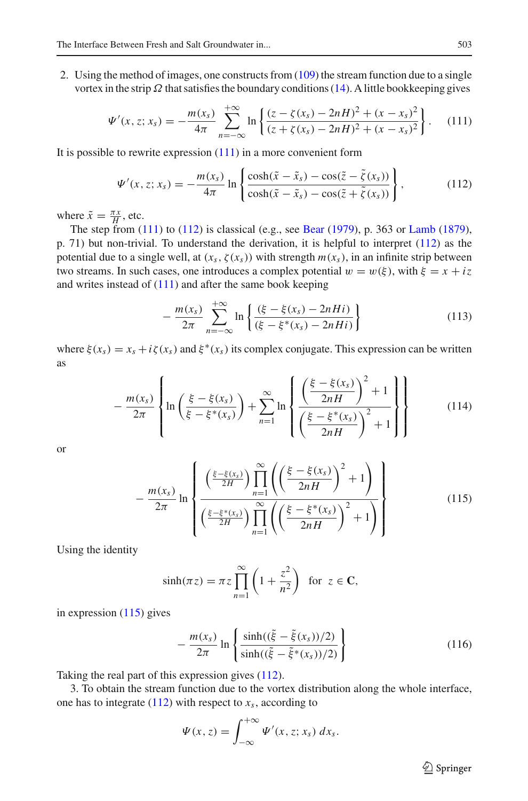2. Using the method of images, one constructs from [\(109\)](#page-21-1) the stream function due to a single vortex in the strip  $\Omega$  that satisfies the boundary conditions [\(14\)](#page-4-2). A little bookkeeping gives

<span id="page-22-0"></span>
$$
\Psi'(x, z; x_s) = -\frac{m(x_s)}{4\pi} \sum_{n=-\infty}^{+\infty} \ln \left\{ \frac{(z - \zeta(x_s) - 2nH)^2 + (x - x_s)^2}{(z + \zeta(x_s) - 2nH)^2 + (x - x_s)^2} \right\}.
$$
 (111)

It is possible to rewrite expression [\(111\)](#page-22-0) in a more convenient form

<span id="page-22-1"></span>
$$
\Psi'(x, z; x_s) = -\frac{m(x_s)}{4\pi} \ln \left\{ \frac{\cosh(\tilde{x} - \tilde{x}_s) - \cos(\tilde{z} - \tilde{\zeta}(x_s))}{\cosh(\tilde{x} - \tilde{x}_s) - \cos(\tilde{z} + \tilde{\zeta}(x_s))} \right\},
$$
(112)

where  $\tilde{x} = \frac{\pi x}{H}$ , etc.

The step from [\(111\)](#page-22-0) to [\(112\)](#page-22-1) is classical (e.g., see [Bear](#page-23-11) [\(1979\)](#page-23-11), p. 363 or [Lamb](#page-23-27) [\(1879\)](#page-23-27), p. 71) but non-trivial. To understand the derivation, it is helpful to interpret [\(112\)](#page-22-1) as the potential due to a single well, at  $(x_s, \zeta(x_s))$  with strength  $m(x_s)$ , in an infinite strip between two streams. In such cases, one introduces a complex potential  $w = w(\xi)$ , with  $\xi = x + iz$ and writes instead of  $(111)$  and after the same book keeping

$$
-\frac{m(x_s)}{2\pi}\sum_{n=-\infty}^{+\infty}\ln\left\{\frac{(\xi-\xi(x_s)-2nHi)}{(\xi-\xi^*(x_s)-2nHi)}\right\}\tag{113}
$$

where  $\xi(x_s) = x_s + i\zeta(x_s)$  and  $\xi^*(x_s)$  its complex conjugate. This expression can be written as

$$
-\frac{m(x_s)}{2\pi}\left\{\ln\left(\frac{\xi-\xi(x_s)}{\xi-\xi^*(x_s)}\right)+\sum_{n=1}^{\infty}\ln\left\{\frac{\left(\frac{\xi-\xi(x_s)}{2n+1}\right)^2+1}{\left(\frac{\xi-\xi^*(x_s)}{2n+1}\right)^2+1}\right\}\right\}
$$
(114)

or

<span id="page-22-2"></span>
$$
-\frac{m(x_s)}{2\pi}\ln\left\{\frac{\left(\frac{\xi-\xi(x_s)}{2H}\right)\prod\limits_{n=1}^{\infty}\left(\left(\frac{\xi-\xi(x_s)}{2nH}\right)^2+1\right)}{\left(\frac{\xi-\xi^*(x_s)}{2H}\right)\prod\limits_{n=1}^{\infty}\left(\left(\frac{\xi-\xi^*(x_s)}{2nH}\right)^2+1\right)}\right\}\tag{115}
$$

Using the identity

$$
\sinh(\pi z) = \pi z \prod_{n=1}^{\infty} \left( 1 + \frac{z^2}{n^2} \right) \text{ for } z \in \mathbf{C},
$$

in expression [\(115\)](#page-22-2) gives

$$
-\frac{m(x_s)}{2\pi}\ln\left\{\frac{\sinh((\tilde{\xi}-\tilde{\xi}(x_s))/2)}{\sinh((\tilde{\xi}-\tilde{\xi}^*(x_s))/2)}\right\}\tag{116}
$$

Taking the real part of this expression gives [\(112\)](#page-22-1).

3. To obtain the stream function due to the vortex distribution along the whole interface, one has to integrate  $(112)$  with respect to  $x_s$ , according to

$$
\Psi(x,z)=\int_{-\infty}^{+\infty}\Psi'(x,z;x_s)\,dx_s.
$$

 $\hat{\mathfrak{D}}$  Springer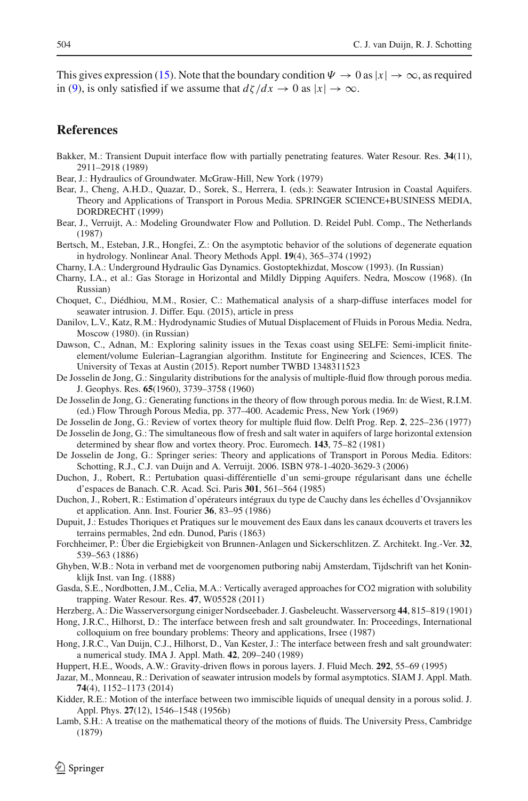This gives expression [\(15\)](#page-4-3). Note that the boundary condition  $\Psi \to 0$  as  $|x| \to \infty$ , as required in [\(9\)](#page-3-4), is only satisfied if we assume that  $d\zeta/dx \to 0$  as  $|x| \to \infty$ .

## **References**

- <span id="page-23-16"></span>Bakker, M.: Transient Dupuit interface flow with partially penetrating features. Water Resour. Res. **34**(11), 2911–2918 (1989)
- <span id="page-23-11"></span>Bear, J.: Hydraulics of Groundwater. McGraw-Hill, New York (1979)
- <span id="page-23-12"></span>Bear, J., Cheng, A.H.D., Quazar, D., Sorek, S., Herrera, I. (eds.): Seawater Intrusion in Coastal Aquifers. Theory and Applications of Transport in Porous Media. SPRINGER SCIENCE+BUSINESS MEDIA, DORDRECHT (1999)
- <span id="page-23-7"></span>Bear, J., Verruijt, A.: Modeling Groundwater Flow and Pollution. D. Reidel Publ. Comp., The Netherlands (1987)
- <span id="page-23-26"></span>Bertsch, M., Esteban, J.R., Hongfei, Z.: On the asymptotic behavior of the solutions of degenerate equation in hydrology. Nonlinear Anal. Theory Methods Appl. **19**(4), 365–374 (1992)
- <span id="page-23-24"></span>Charny, I.A.: Underground Hydraulic Gas Dynamics. Gostoptekhizdat, Moscow (1993). (In Russian)
- <span id="page-23-25"></span>Charny, I.A., et al.: Gas Storage in Horizontal and Mildly Dipping Aquifers. Nedra, Moscow (1968). (In Russian)
- <span id="page-23-8"></span>Choquet, C., Diédhiou, M.M., Rosier, C.: Mathematical analysis of a sharp-diffuse interfaces model for seawater intrusion. J. Differ. Equ. (2015), article in press
- <span id="page-23-17"></span>Danilov, L.V., Katz, R.M.: Hydrodynamic Studies of Mutual Displacement of Fluids in Porous Media. Nedra, Moscow (1980). (in Russian)
- <span id="page-23-10"></span>Dawson, C., Adnan, M.: Exploring salinity issues in the Texas coast using SELFE: Semi-implicit finiteelement/volume Eulerian–Lagrangian algorithm. Institute for Engineering and Sciences, ICES. The University of Texas at Austin (2015). Report number TWBD 1348311523
- <span id="page-23-19"></span>De Josselin de Jong, G.: Singularity distributions for the analysis of multiple-fluid flow through porous media. J. Geophys. Res. **65**(1960), 3739–3758 (1960)
- <span id="page-23-21"></span>De Josselin de Jong, G.: Generating functions in the theory of flow through porous media. In: de Wiest, R.I.M. (ed.) Flow Through Porous Media, pp. 377–400. Academic Press, New York (1969)

<span id="page-23-20"></span>De Josselin de Jong, G.: Review of vortex theory for multiple fluid flow. Delft Prog. Rep. **2**, 225–236 (1977)

- <span id="page-23-0"></span>De Josselin de Jong, G.: The simultaneous flow of fresh and salt water in aquifers of large horizontal extension determined by shear flow and vortex theory. Proc. Euromech. **143**, 75–82 (1981)
- <span id="page-23-23"></span>De Josselin de Jong, G.: Springer series: Theory and applications of Transport in Porous Media. Editors: Schotting, R.J., C.J. van Duijn and A. Verruijt. 2006. ISBN 978-1-4020-3629-3 (2006)
- <span id="page-23-3"></span>Duchon, J., Robert, R.: Pertubation quasi-différentielle d'un semi-groupe régularisant dans une échelle d'espaces de Banach. C.R. Acad. Sci. Paris **301**, 561–564 (1985)
- <span id="page-23-4"></span>Duchon, J., Robert, R.: Estimation d'opérateurs intégraux du type de Cauchy dans les échelles d'Ovsjannikov et application. Ann. Inst. Fourier **36**, 83–95 (1986)
- <span id="page-23-13"></span>Dupuit, J.: Estudes Thoriques et Pratiques sur le mouvement des Eaux dans les canaux dcouverts et travers les terrains permables, 2nd edn. Dunod, Paris (1863)
- <span id="page-23-14"></span>Forchheimer, P.: Über die Ergiebigkeit von Brunnen-Anlagen und Sickerschlitzen. Z. Architekt. Ing.-Ver. **32**, 539–563 (1886)
- <span id="page-23-1"></span>Ghyben, W.B.: Nota in verband met de voorgenomen putboring nabij Amsterdam, Tijdschrift van het Koninklijk Inst. van Ing. (1888)
- <span id="page-23-18"></span>Gasda, S.E., Nordbotten, J.M., Celia, M.A.: Vertically averaged approaches for CO2 migration with solubility trapping. Water Resour. Res. **47**, W05528 (2011)
- <span id="page-23-2"></span>Herzberg, A.: Die Wasserversorgung einiger Nordseebader. J. Gasbeleucht. Wasserversorg **44**, 815–819 (1901)
- <span id="page-23-5"></span>Hong, J.R.C., Hilhorst, D.: The interface between fresh and salt groundwater. In: Proceedings, International colloquium on free boundary problems: Theory and applications, Irsee (1987)
- <span id="page-23-6"></span>Hong, J.R.C., Van Duijn, C.J., Hilhorst, D., Van Kester, J.: The interface between fresh and salt groundwater: a numerical study. IMA J. Appl. Math. **42**, 209–240 (1989)
- <span id="page-23-15"></span>Huppert, H.E., Woods, A.W.: Gravity-driven flows in porous layers. J. Fluid Mech. **292**, 55–69 (1995)
- <span id="page-23-9"></span>Jazar, M., Monneau, R.: Derivation of seawater intrusion models by formal asymptotics. SIAM J. Appl. Math. **74**(4), 1152–1173 (2014)
- <span id="page-23-22"></span>Kidder, R.E.: Motion of the interface between two immiscible liquids of unequal density in a porous solid. J. Appl. Phys. **27**(12), 1546–1548 (1956b)
- <span id="page-23-27"></span>Lamb, S.H.: A treatise on the mathematical theory of the motions of fluids. The University Press, Cambridge (1879)